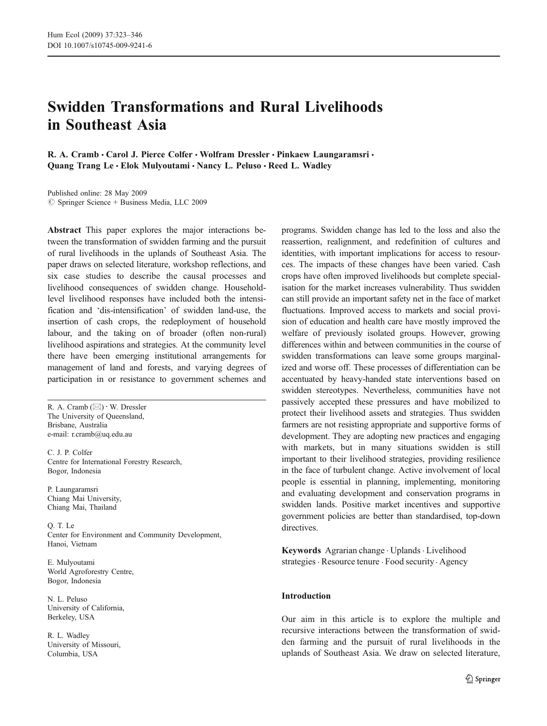# Swidden Transformations and Rural Livelihoods in Southeast Asia

R. A. Cramb • Carol J. Pierce Colfer • Wolfram Dressler • Pinkaew Laungaramsri • Quang Trang Le · Elok Mulyoutami · Nancy L. Peluso · Reed L. Wadley

Published online: 28 May 2009 © Springer Science + Business Media, LLC 2009

Abstract This paper explores the major interactions between the transformation of swidden farming and the pursuit of rural livelihoods in the uplands of Southeast Asia. The paper draws on selected literature, workshop reflections, and six case studies to describe the causal processes and livelihood consequences of swidden change. Householdlevel livelihood responses have included both the intensification and 'dis-intensification' of swidden land-use, the insertion of cash crops, the redeployment of household labour, and the taking on of broader (often non-rural) livelihood aspirations and strategies. At the community level there have been emerging institutional arrangements for management of land and forests, and varying degrees of participation in or resistance to government schemes and

R. A. Cramb  $(\boxtimes) \cdot$  W. Dressler The University of Queensland, Brisbane, Australia e-mail: r.cramb@uq.edu.au

C. J. P. Colfer Centre for International Forestry Research, Bogor, Indonesia

P. Laungaramsri Chiang Mai University, Chiang Mai, Thailand

Q. T. Le Center for Environment and Community Development, Hanoi, Vietnam

E. Mulyoutami World Agroforestry Centre, Bogor, Indonesia

N. L. Peluso University of California, Berkeley, USA

R. L. Wadley University of Missouri, Columbia, USA

programs. Swidden change has led to the loss and also the reassertion, realignment, and redefinition of cultures and identities, with important implications for access to resources. The impacts of these changes have been varied. Cash crops have often improved livelihoods but complete specialisation for the market increases vulnerability. Thus swidden can still provide an important safety net in the face of market fluctuations. Improved access to markets and social provision of education and health care have mostly improved the welfare of previously isolated groups. However, growing differences within and between communities in the course of swidden transformations can leave some groups marginalized and worse off. These processes of differentiation can be accentuated by heavy-handed state interventions based on swidden stereotypes. Nevertheless, communities have not passively accepted these pressures and have mobilized to protect their livelihood assets and strategies. Thus swidden farmers are not resisting appropriate and supportive forms of development. They are adopting new practices and engaging with markets, but in many situations swidden is still important to their livelihood strategies, providing resilience in the face of turbulent change. Active involvement of local people is essential in planning, implementing, monitoring and evaluating development and conservation programs in swidden lands. Positive market incentives and supportive government policies are better than standardised, top-down directives.

Keywords Agrarian change . Uplands . Livelihood strategies · Resource tenure · Food security · Agency

# Introduction

Our aim in this article is to explore the multiple and recursive interactions between the transformation of swidden farming and the pursuit of rural livelihoods in the uplands of Southeast Asia. We draw on selected literature,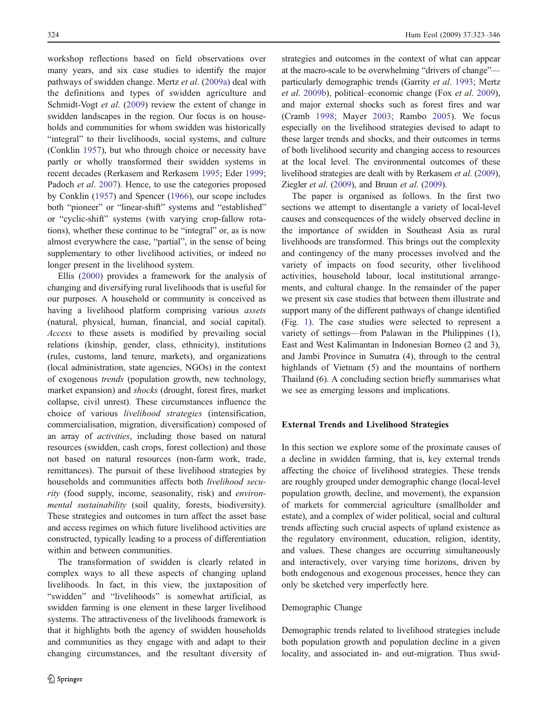workshop reflections based on field observations over many years, and six case studies to identify the major pathways of swidden change. Mertz et al. [\(2009a](#page-22-0)) deal with the definitions and types of swidden agriculture and Schmidt-Vogt *et al.* ([2009\)](#page-22-0) review the extent of change in swidden landscapes in the region. Our focus is on households and communities for whom swidden was historically "integral" to their livelihoods, social systems, and culture (Conklin [1957](#page-20-0)), but who through choice or necessity have partly or wholly transformed their swidden systems in recent decades (Rerkasem and Rerkasem [1995](#page-22-0); Eder [1999](#page-21-0); Padoch et al. [2007\)](#page-22-0). Hence, to use the categories proposed by Conklin [\(1957](#page-20-0)) and Spencer ([1966\)](#page-22-0), our scope includes both "pioneer" or "linear-shift" systems and "established" or "cyclic-shift" systems (with varying crop-fallow rotations), whether these continue to be "integral" or, as is now almost everywhere the case, "partial", in the sense of being supplementary to other livelihood activities, or indeed no longer present in the livelihood system.

Ellis ([2000\)](#page-21-0) provides a framework for the analysis of changing and diversifying rural livelihoods that is useful for our purposes. A household or community is conceived as having a livelihood platform comprising various assets (natural, physical, human, financial, and social capital). Access to these assets is modified by prevailing social relations (kinship, gender, class, ethnicity), institutions (rules, customs, land tenure, markets), and organizations (local administration, state agencies, NGOs) in the context of exogenous trends (population growth, new technology, market expansion) and shocks (drought, forest fires, market collapse, civil unrest). These circumstances influence the choice of various livelihood strategies (intensification, commercialisation, migration, diversification) composed of an array of activities, including those based on natural resources (swidden, cash crops, forest collection) and those not based on natural resources (non-farm work, trade, remittances). The pursuit of these livelihood strategies by households and communities affects both *livelihood secu*rity (food supply, income, seasonality, risk) and *environ*mental sustainability (soil quality, forests, biodiversity). These strategies and outcomes in turn affect the asset base and access regimes on which future livelihood activities are constructed, typically leading to a process of differentiation within and between communities.

The transformation of swidden is clearly related in complex ways to all these aspects of changing upland livelihoods. In fact, in this view, the juxtaposition of "swidden" and "livelihoods" is somewhat artificial, as swidden farming is one element in these larger livelihood systems. The attractiveness of the livelihoods framework is that it highlights both the agency of swidden households and communities as they engage with and adapt to their changing circumstances, and the resultant diversity of strategies and outcomes in the context of what can appear at the macro-scale to be overwhelming "drivers of change" particularly demographic trends (Garrity et al. [1993](#page-21-0); Mertz et al. [2009b](#page-22-0)), political–economic change (Fox et al. [2009](#page-21-0)), and major external shocks such as forest fires and war (Cramb [1998](#page-20-0); Mayer [2003](#page-21-0); Rambo [2005](#page-22-0)). We focus especially on the livelihood strategies devised to adapt to these larger trends and shocks, and their outcomes in terms of both livelihood security and changing access to resources at the local level. The environmental outcomes of these livelihood strategies are dealt with by Rerkasem et al. [\(2009](#page-22-0)), Ziegler et al. [\(2009\)](#page-23-0), and Bruun et al. [\(2009](#page-20-0)).

The paper is organised as follows. In the first two sections we attempt to disentangle a variety of local-level causes and consequences of the widely observed decline in the importance of swidden in Southeast Asia as rural livelihoods are transformed. This brings out the complexity and contingency of the many processes involved and the variety of impacts on food security, other livelihood activities, household labour, local institutional arrangements, and cultural change. In the remainder of the paper we present six case studies that between them illustrate and support many of the different pathways of change identified (Fig. [1](#page-2-0)). The case studies were selected to represent a variety of settings—from Palawan in the Philippines (1), East and West Kalimantan in Indonesian Borneo (2 and 3), and Jambi Province in Sumatra (4), through to the central highlands of Vietnam (5) and the mountains of northern Thailand (6). A concluding section briefly summarises what we see as emerging lessons and implications.

# External Trends and Livelihood Strategies

In this section we explore some of the proximate causes of a decline in swidden farming, that is, key external trends affecting the choice of livelihood strategies. These trends are roughly grouped under demographic change (local-level population growth, decline, and movement), the expansion of markets for commercial agriculture (smallholder and estate), and a complex of wider political, social and cultural trends affecting such crucial aspects of upland existence as the regulatory environment, education, religion, identity, and values. These changes are occurring simultaneously and interactively, over varying time horizons, driven by both endogenous and exogenous processes, hence they can only be sketched very imperfectly here.

#### Demographic Change

Demographic trends related to livelihood strategies include both population growth and population decline in a given locality, and associated in- and out-migration. Thus swid-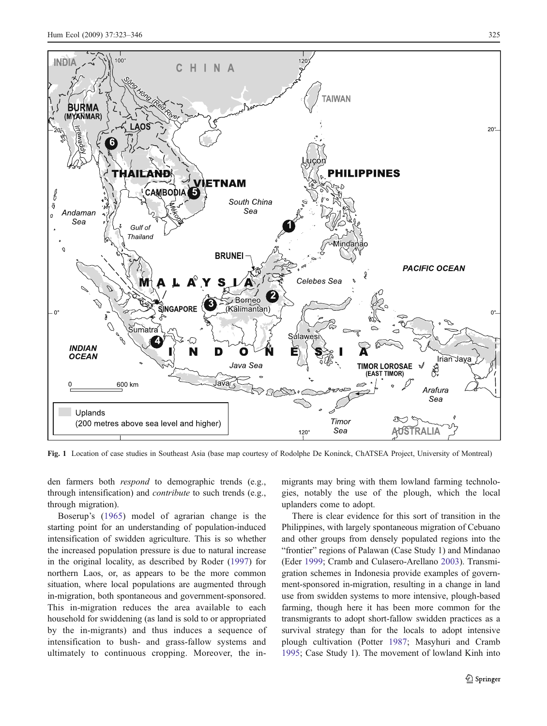<span id="page-2-0"></span>

Fig. 1 Location of case studies in Southeast Asia (base map courtesy of Rodolphe De Koninck, ChATSEA Project, University of Montreal)

den farmers both respond to demographic trends (e.g., through intensification) and contribute to such trends (e.g., through migration).

Boserup's [\(1965\)](#page-20-0) model of agrarian change is the starting point for an understanding of population-induced intensification of swidden agriculture. This is so whether the increased population pressure is due to natural increase in the original locality, as described by Roder ([1997\)](#page-22-0) for northern Laos, or, as appears to be the more common situation, where local populations are augmented through in-migration, both spontaneous and government-sponsored. This in-migration reduces the area available to each household for swiddening (as land is sold to or appropriated by the in-migrants) and thus induces a sequence of intensification to bush- and grass-fallow systems and ultimately to continuous cropping. Moreover, the in-

migrants may bring with them lowland farming technologies, notably the use of the plough, which the local uplanders come to adopt.

There is clear evidence for this sort of transition in the Philippines, with largely spontaneous migration of Cebuano and other groups from densely populated regions into the "frontier" regions of Palawan (Case Study 1) and Mindanao (Eder [1999;](#page-21-0) Cramb and Culasero-Arellano [2003](#page-21-0)). Transmigration schemes in Indonesia provide examples of government-sponsored in-migration, resulting in a change in land use from swidden systems to more intensive, plough-based farming, though here it has been more common for the transmigrants to adopt short-fallow swidden practices as a survival strategy than for the locals to adopt intensive plough cultivation (Potter [1987](#page-22-0); Masyhuri and Cramb [1995;](#page-21-0) Case Study 1). The movement of lowland Kinh into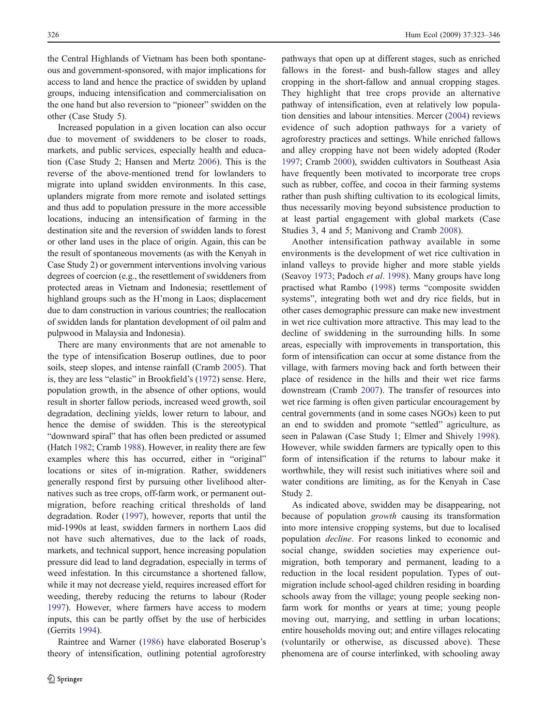the Central Highlands of Vietnam has been both spontaneous and government-sponsored, with major implications for access to land and hence the practice of swidden by upland groups, inducing intensification and commercialisation on the one hand but also reversion to "pioneer" swidden on the other (Case Study 5).

Increased population in a given location can also occur due to movement of swiddeners to be closer to roads, markets, and public services, especially health and education (Case Study 2; Hansen and Mertz [2006\)](#page-21-0). This is the reverse of the above-mentioned trend for lowlanders to migrate into upland swidden environments. In this case, uplanders migrate from more remote and isolated settings and thus add to population pressure in the more accessible locations, inducing an intensification of farming in the destination site and the reversion of swidden lands to forest or other land uses in the place of origin. Again, this can be the result of spontaneous movements (as with the Kenyah in Case Study 2) or government interventions involving various degrees of coercion (e.g., the resettlement of swiddeners from protected areas in Vietnam and Indonesia; resettlement of highland groups such as the H'mong in Laos; displacement due to dam construction in various countries; the reallocation of swidden lands for plantation development of oil palm and pulpwood in Malaysia and Indonesia).

There are many environments that are not amenable to the type of intensification Boserup outlines, due to poor soils, steep slopes, and intense rainfall (Cramb [2005\)](#page-20-0). That is, they are less "elastic" in Brookfield's [\(1972](#page-20-0)) sense. Here, population growth, in the absence of other options, would result in shorter fallow periods, increased weed growth, soil degradation, declining yields, lower return to labour, and hence the demise of swidden. This is the stereotypical "downward spiral" that has often been predicted or assumed (Hatch [1982](#page-21-0); Cramb [1988\)](#page-20-0). However, in reality there are few examples where this has occurred, either in "original" locations or sites of in-migration. Rather, swiddeners generally respond first by pursuing other livelihood alternatives such as tree crops, off-farm work, or permanent outmigration, before reaching critical thresholds of land degradation. Roder [\(1997](#page-22-0)), however, reports that until the mid-1990s at least, swidden farmers in northern Laos did not have such alternatives, due to the lack of roads, markets, and technical support, hence increasing population pressure did lead to land degradation, especially in terms of weed infestation. In this circumstance a shortened fallow, while it may not decrease yield, requires increased effort for weeding, thereby reducing the returns to labour (Roder [1997\)](#page-22-0). However, where farmers have access to modern inputs, this can be partly offset by the use of herbicides (Gerrits [1994](#page-21-0)).

Raintree and Warner ([1986\)](#page-22-0) have elaborated Boserup's theory of intensification, outlining potential agroforestry

pathways that open up at different stages, such as enriched fallows in the forest- and bush-fallow stages and alley cropping in the short-fallow and annual cropping stages. They highlight that tree crops provide an alternative pathway of intensification, even at relatively low population densities and labour intensities. Mercer [\(2004](#page-21-0)) reviews evidence of such adoption pathways for a variety of agroforestry practices and settings. While enriched fallows and alley cropping have not been widely adopted (Roder [1997;](#page-22-0) Cramb [2000](#page-20-0)), swidden cultivators in Southeast Asia have frequently been motivated to incorporate tree crops such as rubber, coffee, and cocoa in their farming systems rather than push shifting cultivation to its ecological limits, thus necessarily moving beyond subsistence production to at least partial engagement with global markets (Case Studies 3, 4 and 5; Manivong and Cramb [2008\)](#page-21-0).

Another intensification pathway available in some environments is the development of wet rice cultivation in inland valleys to provide higher and more stable yields (Seavoy [1973;](#page-22-0) Padoch et al. [1998\)](#page-22-0). Many groups have long practised what Rambo ([1998\)](#page-22-0) terms "composite swidden systems", integrating both wet and dry rice fields, but in other cases demographic pressure can make new investment in wet rice cultivation more attractive. This may lead to the decline of swiddening in the surrounding hills. In some areas, especially with improvements in transportation, this form of intensification can occur at some distance from the village, with farmers moving back and forth between their place of residence in the hills and their wet rice farms downstream (Cramb [2007](#page-20-0)). The transfer of resources into wet rice farming is often given particular encouragement by central governments (and in some cases NGOs) keen to put an end to swidden and promote "settled" agriculture, as seen in Palawan (Case Study 1; Elmer and Shively [1998](#page-21-0)). However, while swidden farmers are typically open to this form of intensification if the returns to labour make it worthwhile, they will resist such initiatives where soil and water conditions are limiting, as for the Kenyah in Case Study 2.

As indicated above, swidden may be disappearing, not because of population growth causing its transformation into more intensive cropping systems, but due to localised population decline. For reasons linked to economic and social change, swidden societies may experience outmigration, both temporary and permanent, leading to a reduction in the local resident population. Types of outmigration include school-aged children residing in boarding schools away from the village; young people seeking nonfarm work for months or years at time; young people moving out, marrying, and settling in urban locations; entire households moving out; and entire villages relocating (voluntarily or otherwise, as discussed above). These phenomena are of course interlinked, with schooling away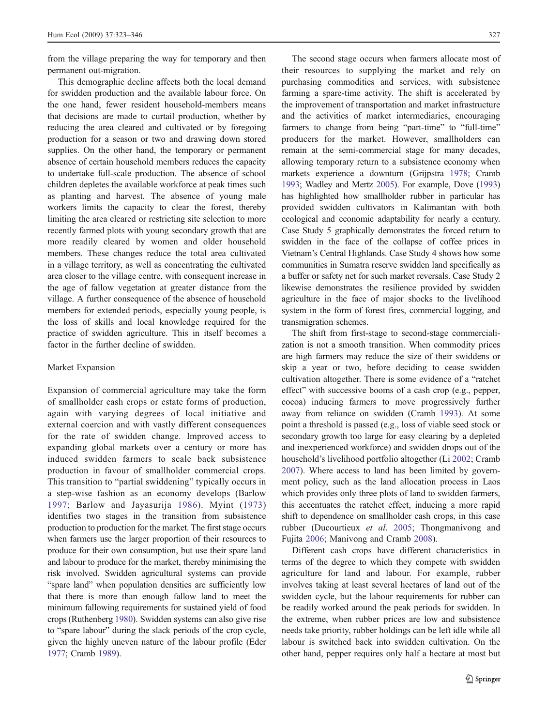from the village preparing the way for temporary and then permanent out-migration.

This demographic decline affects both the local demand for swidden production and the available labour force. On the one hand, fewer resident household-members means that decisions are made to curtail production, whether by reducing the area cleared and cultivated or by foregoing production for a season or two and drawing down stored supplies. On the other hand, the temporary or permanent absence of certain household members reduces the capacity to undertake full-scale production. The absence of school children depletes the available workforce at peak times such as planting and harvest. The absence of young male workers limits the capacity to clear the forest, thereby limiting the area cleared or restricting site selection to more recently farmed plots with young secondary growth that are more readily cleared by women and older household members. These changes reduce the total area cultivated in a village territory, as well as concentrating the cultivated area closer to the village centre, with consequent increase in the age of fallow vegetation at greater distance from the village. A further consequence of the absence of household members for extended periods, especially young people, is the loss of skills and local knowledge required for the practice of swidden agriculture. This in itself becomes a factor in the further decline of swidden.

#### Market Expansion

Expansion of commercial agriculture may take the form of smallholder cash crops or estate forms of production, again with varying degrees of local initiative and external coercion and with vastly different consequences for the rate of swidden change. Improved access to expanding global markets over a century or more has induced swidden farmers to scale back subsistence production in favour of smallholder commercial crops. This transition to "partial swiddening" typically occurs in a step-wise fashion as an economy develops (Barlow [1997](#page-20-0); Barlow and Jayasurija [1986](#page-20-0)). Myint ([1973\)](#page-22-0) identifies two stages in the transition from subsistence production to production for the market. The first stage occurs when farmers use the larger proportion of their resources to produce for their own consumption, but use their spare land and labour to produce for the market, thereby minimising the risk involved. Swidden agricultural systems can provide "spare land" when population densities are sufficiently low that there is more than enough fallow land to meet the minimum fallowing requirements for sustained yield of food crops (Ruthenberg [1980\)](#page-22-0). Swidden systems can also give rise to "spare labour" during the slack periods of the crop cycle, given the highly uneven nature of the labour profile (Eder [1977](#page-21-0); Cramb [1989\)](#page-20-0).

The second stage occurs when farmers allocate most of their resources to supplying the market and rely on purchasing commodities and services, with subsistence farming a spare-time activity. The shift is accelerated by the improvement of transportation and market infrastructure and the activities of market intermediaries, encouraging farmers to change from being "part-time" to "full-time" producers for the market. However, smallholders can remain at the semi-commercial stage for many decades, allowing temporary return to a subsistence economy when markets experience a downturn (Grijpstra [1978](#page-21-0); Cramb [1993](#page-20-0); Wadley and Mertz [2005](#page-23-0)). For example, Dove [\(1993\)](#page-21-0) has highlighted how smallholder rubber in particular has provided swidden cultivators in Kalimantan with both ecological and economic adaptability for nearly a century. Case Study 5 graphically demonstrates the forced return to swidden in the face of the collapse of coffee prices in Vietnam's Central Highlands. Case Study 4 shows how some communities in Sumatra reserve swidden land specifically as a buffer or safety net for such market reversals. Case Study 2 likewise demonstrates the resilience provided by swidden agriculture in the face of major shocks to the livelihood system in the form of forest fires, commercial logging, and transmigration schemes.

The shift from first-stage to second-stage commercialization is not a smooth transition. When commodity prices are high farmers may reduce the size of their swiddens or skip a year or two, before deciding to cease swidden cultivation altogether. There is some evidence of a "ratchet effect" with successive booms of a cash crop (e.g., pepper, cocoa) inducing farmers to move progressively further away from reliance on swidden (Cramb [1993](#page-21-0)). At some point a threshold is passed (e.g., loss of viable seed stock or secondary growth too large for easy clearing by a depleted and inexperienced workforce) and swidden drops out of the household's livelihood portfolio altogether (Li [2002;](#page-21-0) Cramb [2007\)](#page-20-0). Where access to land has been limited by government policy, such as the land allocation process in Laos which provides only three plots of land to swidden farmers, this accentuates the ratchet effect, inducing a more rapid shift to dependence on smallholder cash crops, in this case rubber (Ducourtieux et al. [2005;](#page-21-0) Thongmanivong and Fujita [2006](#page-22-0); Manivong and Cramb [2008\)](#page-21-0).

Different cash crops have different characteristics in terms of the degree to which they compete with swidden agriculture for land and labour. For example, rubber involves taking at least several hectares of land out of the swidden cycle, but the labour requirements for rubber can be readily worked around the peak periods for swidden. In the extreme, when rubber prices are low and subsistence needs take priority, rubber holdings can be left idle while all labour is switched back into swidden cultivation. On the other hand, pepper requires only half a hectare at most but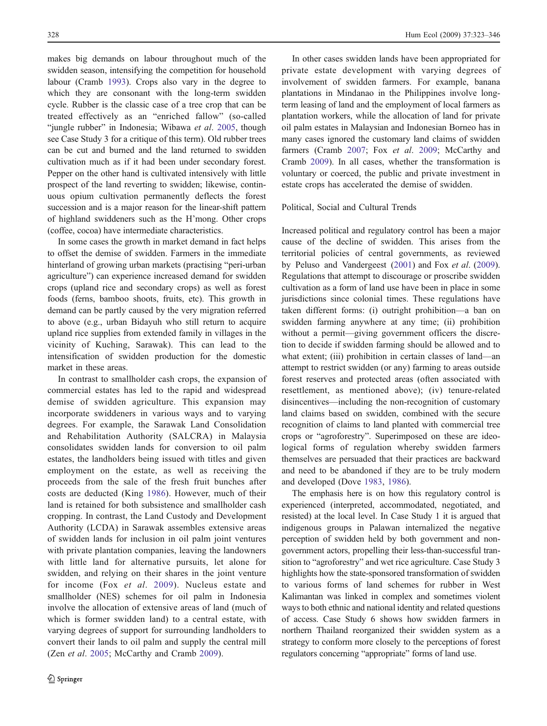makes big demands on labour throughout much of the swidden season, intensifying the competition for household labour (Cramb [1993](#page-20-0)). Crops also vary in the degree to which they are consonant with the long-term swidden cycle. Rubber is the classic case of a tree crop that can be treated effectively as an "enriched fallow" (so-called "jungle rubber" in Indonesia; Wibawa et al. [2005,](#page-23-0) though see Case Study 3 for a critique of this term). Old rubber trees can be cut and burned and the land returned to swidden cultivation much as if it had been under secondary forest. Pepper on the other hand is cultivated intensively with little prospect of the land reverting to swidden; likewise, continuous opium cultivation permanently deflects the forest succession and is a major reason for the linear-shift pattern of highland swiddeners such as the H'mong. Other crops (coffee, cocoa) have intermediate characteristics.

In some cases the growth in market demand in fact helps to offset the demise of swidden. Farmers in the immediate hinterland of growing urban markets (practising "peri-urban agriculture") can experience increased demand for swidden crops (upland rice and secondary crops) as well as forest foods (ferns, bamboo shoots, fruits, etc). This growth in demand can be partly caused by the very migration referred to above (e.g., urban Bidayuh who still return to acquire upland rice supplies from extended family in villages in the vicinity of Kuching, Sarawak). This can lead to the intensification of swidden production for the domestic market in these areas.

In contrast to smallholder cash crops, the expansion of commercial estates has led to the rapid and widespread demise of swidden agriculture. This expansion may incorporate swiddeners in various ways and to varying degrees. For example, the Sarawak Land Consolidation and Rehabilitation Authority (SALCRA) in Malaysia consolidates swidden lands for conversion to oil palm estates, the landholders being issued with titles and given employment on the estate, as well as receiving the proceeds from the sale of the fresh fruit bunches after costs are deducted (King [1986](#page-21-0)). However, much of their land is retained for both subsistence and smallholder cash cropping. In contrast, the Land Custody and Development Authority (LCDA) in Sarawak assembles extensive areas of swidden lands for inclusion in oil palm joint ventures with private plantation companies, leaving the landowners with little land for alternative pursuits, let alone for swidden, and relying on their shares in the joint venture for income (Fox et al. [2009\)](#page-21-0). Nucleus estate and smallholder (NES) schemes for oil palm in Indonesia involve the allocation of extensive areas of land (much of which is former swidden land) to a central estate, with varying degrees of support for surrounding landholders to convert their lands to oil palm and supply the central mill (Zen et al. [2005;](#page-23-0) McCarthy and Cramb [2009\)](#page-21-0).

In other cases swidden lands have been appropriated for private estate development with varying degrees of involvement of swidden farmers. For example, banana plantations in Mindanao in the Philippines involve longterm leasing of land and the employment of local farmers as plantation workers, while the allocation of land for private oil palm estates in Malaysian and Indonesian Borneo has in many cases ignored the customary land claims of swidden farmers (Cramb [2007](#page-20-0); Fox et al. [2009](#page-21-0); McCarthy and Cramb [2009](#page-21-0)). In all cases, whether the transformation is voluntary or coerced, the public and private investment in estate crops has accelerated the demise of swidden.

#### Political, Social and Cultural Trends

Increased political and regulatory control has been a major cause of the decline of swidden. This arises from the territorial policies of central governments, as reviewed by Peluso and Vandergeest [\(2001](#page-22-0)) and Fox et al. [\(2009](#page-21-0)). Regulations that attempt to discourage or proscribe swidden cultivation as a form of land use have been in place in some jurisdictions since colonial times. These regulations have taken different forms: (i) outright prohibition—a ban on swidden farming anywhere at any time; (ii) prohibition without a permit—giving government officers the discretion to decide if swidden farming should be allowed and to what extent; (iii) prohibition in certain classes of land—an attempt to restrict swidden (or any) farming to areas outside forest reserves and protected areas (often associated with resettlement, as mentioned above); (iv) tenure-related disincentives—including the non-recognition of customary land claims based on swidden, combined with the secure recognition of claims to land planted with commercial tree crops or "agroforestry". Superimposed on these are ideological forms of regulation whereby swidden farmers themselves are persuaded that their practices are backward and need to be abandoned if they are to be truly modern and developed (Dove [1983](#page-21-0), [1986](#page-21-0)).

The emphasis here is on how this regulatory control is experienced (interpreted, accommodated, negotiated, and resisted) at the local level. In Case Study 1 it is argued that indigenous groups in Palawan internalized the negative perception of swidden held by both government and nongovernment actors, propelling their less-than-successful transition to "agroforestry" and wet rice agriculture. Case Study 3 highlights how the state-sponsored transformation of swidden to various forms of land schemes for rubber in West Kalimantan was linked in complex and sometimes violent ways to both ethnic and national identity and related questions of access. Case Study 6 shows how swidden farmers in northern Thailand reorganized their swidden system as a strategy to conform more closely to the perceptions of forest regulators concerning "appropriate" forms of land use.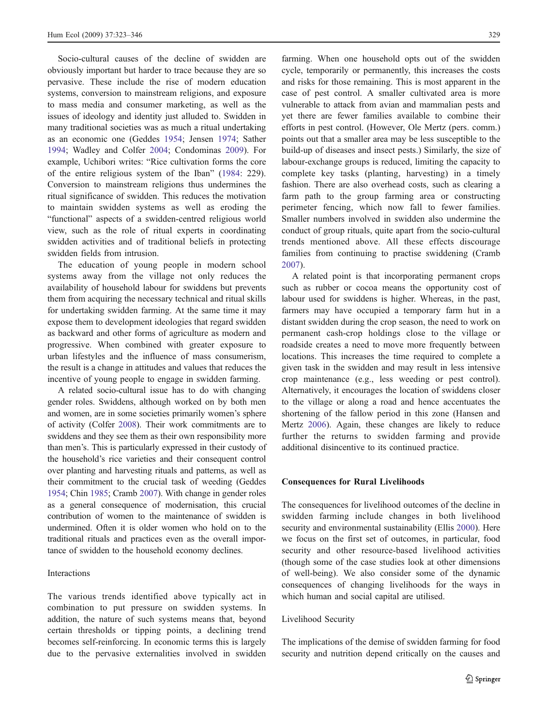Socio-cultural causes of the decline of swidden are obviously important but harder to trace because they are so pervasive. These include the rise of modern education systems, conversion to mainstream religions, and exposure to mass media and consumer marketing, as well as the issues of ideology and identity just alluded to. Swidden in many traditional societies was as much a ritual undertaking as an economic one (Geddes [1954;](#page-21-0) Jensen [1974](#page-21-0); Sather [1994;](#page-22-0) Wadley and Colfer [2004](#page-22-0); Condominas [2009\)](#page-20-0). For example, Uchibori writes: "Rice cultivation forms the core of the entire religious system of the Iban" [\(1984](#page-22-0): 229). Conversion to mainstream religions thus undermines the ritual significance of swidden. This reduces the motivation to maintain swidden systems as well as eroding the "functional" aspects of a swidden-centred religious world view, such as the role of ritual experts in coordinating swidden activities and of traditional beliefs in protecting swidden fields from intrusion.

The education of young people in modern school systems away from the village not only reduces the availability of household labour for swiddens but prevents them from acquiring the necessary technical and ritual skills for undertaking swidden farming. At the same time it may expose them to development ideologies that regard swidden as backward and other forms of agriculture as modern and progressive. When combined with greater exposure to urban lifestyles and the influence of mass consumerism, the result is a change in attitudes and values that reduces the incentive of young people to engage in swidden farming.

A related socio-cultural issue has to do with changing gender roles. Swiddens, although worked on by both men and women, are in some societies primarily women's sphere of activity (Colfer [2008\)](#page-20-0). Their work commitments are to swiddens and they see them as their own responsibility more than men's. This is particularly expressed in their custody of the household's rice varieties and their consequent control over planting and harvesting rituals and patterns, as well as their commitment to the crucial task of weeding (Geddes [1954](#page-21-0); Chin [1985;](#page-20-0) Cramb [2007\)](#page-20-0). With change in gender roles as a general consequence of modernisation, this crucial contribution of women to the maintenance of swidden is undermined. Often it is older women who hold on to the traditional rituals and practices even as the overall importance of swidden to the household economy declines.

#### Interactions

The various trends identified above typically act in combination to put pressure on swidden systems. In addition, the nature of such systems means that, beyond certain thresholds or tipping points, a declining trend becomes self-reinforcing. In economic terms this is largely due to the pervasive externalities involved in swidden

farming. When one household opts out of the swidden cycle, temporarily or permanently, this increases the costs and risks for those remaining. This is most apparent in the case of pest control. A smaller cultivated area is more vulnerable to attack from avian and mammalian pests and yet there are fewer families available to combine their efforts in pest control. (However, Ole Mertz (pers. comm.) points out that a smaller area may be less susceptible to the build-up of diseases and insect pests.) Similarly, the size of labour-exchange groups is reduced, limiting the capacity to complete key tasks (planting, harvesting) in a timely fashion. There are also overhead costs, such as clearing a farm path to the group farming area or constructing perimeter fencing, which now fall to fewer families. Smaller numbers involved in swidden also undermine the conduct of group rituals, quite apart from the socio-cultural trends mentioned above. All these effects discourage families from continuing to practise swiddening (Cramb [2007\)](#page-20-0).

A related point is that incorporating permanent crops such as rubber or cocoa means the opportunity cost of labour used for swiddens is higher. Whereas, in the past, farmers may have occupied a temporary farm hut in a distant swidden during the crop season, the need to work on permanent cash-crop holdings close to the village or roadside creates a need to move more frequently between locations. This increases the time required to complete a given task in the swidden and may result in less intensive crop maintenance (e.g., less weeding or pest control). Alternatively, it encourages the location of swiddens closer to the village or along a road and hence accentuates the shortening of the fallow period in this zone (Hansen and Mertz [2006](#page-21-0)). Again, these changes are likely to reduce further the returns to swidden farming and provide additional disincentive to its continued practice.

### Consequences for Rural Livelihoods

The consequences for livelihood outcomes of the decline in swidden farming include changes in both livelihood security and environmental sustainability (Ellis [2000](#page-21-0)). Here we focus on the first set of outcomes, in particular, food security and other resource-based livelihood activities (though some of the case studies look at other dimensions of well-being). We also consider some of the dynamic consequences of changing livelihoods for the ways in which human and social capital are utilised.

#### Livelihood Security

The implications of the demise of swidden farming for food security and nutrition depend critically on the causes and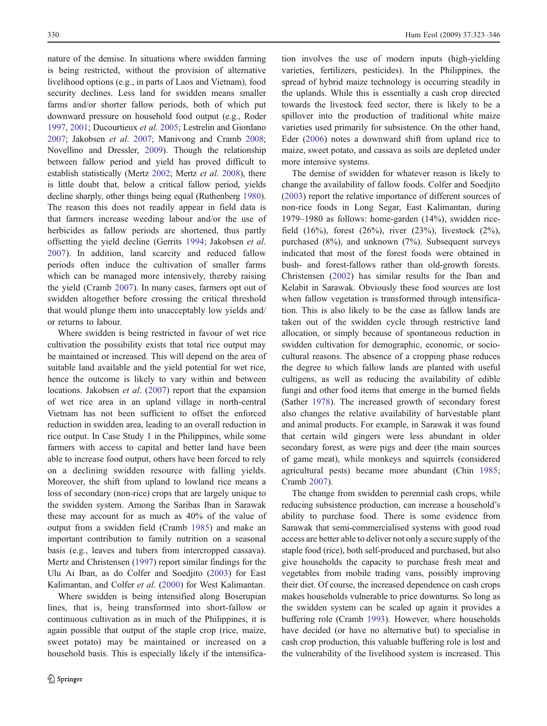nature of the demise. In situations where swidden farming is being restricted, without the provision of alternative livelihood options (e.g., in parts of Laos and Vietnam), food security declines. Less land for swidden means smaller farms and/or shorter fallow periods, both of which put downward pressure on household food output (e.g., Roder [1997](#page-22-0), [2001;](#page-22-0) Ducourtieux et al. [2005](#page-21-0); Lestrelin and Giordano [2007](#page-21-0); Jakobsen et al. [2007](#page-21-0); Manivong and Cramb [2008](#page-21-0); Novellino and Dressler, [2009](#page-22-0)). Though the relationship between fallow period and yield has proved difficult to establish statistically (Mertz [2002](#page-22-0); Mertz et al. [2008](#page-22-0)), there is little doubt that, below a critical fallow period, yields decline sharply, other things being equal (Ruthenberg [1980](#page-22-0)). The reason this does not readily appear in field data is that farmers increase weeding labour and/or the use of herbicides as fallow periods are shortened, thus partly offsetting the yield decline (Gerrits [1994](#page-21-0); Jakobsen et al. [2007\)](#page-21-0). In addition, land scarcity and reduced fallow periods often induce the cultivation of smaller farms which can be managed more intensively, thereby raising the yield (Cramb [2007](#page-20-0)). In many cases, farmers opt out of swidden altogether before crossing the critical threshold that would plunge them into unacceptably low yields and/ or returns to labour.

Where swidden is being restricted in favour of wet rice cultivation the possibility exists that total rice output may be maintained or increased. This will depend on the area of suitable land available and the yield potential for wet rice, hence the outcome is likely to vary within and between locations. Jakobsen et al. [\(2007](#page-21-0)) report that the expansion of wet rice area in an upland village in north-central Vietnam has not been sufficient to offset the enforced reduction in swidden area, leading to an overall reduction in rice output. In Case Study 1 in the Philippines, while some farmers with access to capital and better land have been able to increase food output, others have been forced to rely on a declining swidden resource with falling yields. Moreover, the shift from upland to lowland rice means a loss of secondary (non-rice) crops that are largely unique to the swidden system. Among the Saribas Iban in Sarawak these may account for as much as 40% of the value of output from a swidden field (Cramb [1985](#page-20-0)) and make an important contribution to family nutrition on a seasonal basis (e.g., leaves and tubers from intercropped cassava). Mertz and Christensen [\(1997](#page-22-0)) report similar findings for the Ulu Ai Iban, as do Colfer and Soedjito ([2003\)](#page-20-0) for East Kalimantan, and Colfer et al. [\(2000](#page-20-0)) for West Kalimantan.

Where swidden is being intensified along Boserupian lines, that is, being transformed into short-fallow or continuous cultivation as in much of the Philippines, it is again possible that output of the staple crop (rice, maize, sweet potato) may be maintained or increased on a household basis. This is especially likely if the intensifica-

tion involves the use of modern inputs (high-yielding varieties, fertilizers, pesticides). In the Philippines, the spread of hybrid maize technology is occurring steadily in the uplands. While this is essentially a cash crop directed towards the livestock feed sector, there is likely to be a spillover into the production of traditional white maize varieties used primarily for subsistence. On the other hand, Eder [\(2006](#page-21-0)) notes a downward shift from upland rice to maize, sweet potato, and cassava as soils are depleted under more intensive systems.

The demise of swidden for whatever reason is likely to change the availability of fallow foods. Colfer and Soedjito ([2003\)](#page-20-0) report the relative importance of different sources of non-rice foods in Long Segar, East Kalimantan, during 1979–1980 as follows: home-garden (14%), swidden ricefield (16%), forest (26%), river (23%), livestock (2%), purchased  $(8\%)$ , and unknown  $(7\%)$ . Subsequent surveys indicated that most of the forest foods were obtained in bush- and forest-fallows rather than old-growth forests. Christensen [\(2002](#page-20-0)) has similar results for the Iban and Kelabit in Sarawak. Obviously these food sources are lost when fallow vegetation is transformed through intensification. This is also likely to be the case as fallow lands are taken out of the swidden cycle through restrictive land allocation, or simply because of spontaneous reduction in swidden cultivation for demographic, economic, or sociocultural reasons. The absence of a cropping phase reduces the degree to which fallow lands are planted with useful cultigens, as well as reducing the availability of edible fungi and other food items that emerge in the burned fields (Sather [1978\)](#page-22-0). The increased growth of secondary forest also changes the relative availability of harvestable plant and animal products. For example, in Sarawak it was found that certain wild gingers were less abundant in older secondary forest, as were pigs and deer (the main sources of game meat), while monkeys and squirrels (considered agricultural pests) became more abundant (Chin [1985](#page-20-0); Cramb [2007\)](#page-20-0).

The change from swidden to perennial cash crops, while reducing subsistence production, can increase a household's ability to purchase food. There is some evidence from Sarawak that semi-commercialised systems with good road access are better able to deliver not only a secure supply of the staple food (rice), both self-produced and purchased, but also give households the capacity to purchase fresh meat and vegetables from mobile trading vans, possibly improving their diet. Of course, the increased dependence on cash crops makes households vulnerable to price downturns. So long as the swidden system can be scaled up again it provides a buffering role (Cramb [1993](#page-20-0)). However, where households have decided (or have no alternative but) to specialise in cash crop production, this valuable buffering role is lost and the vulnerability of the livelihood system is increased. This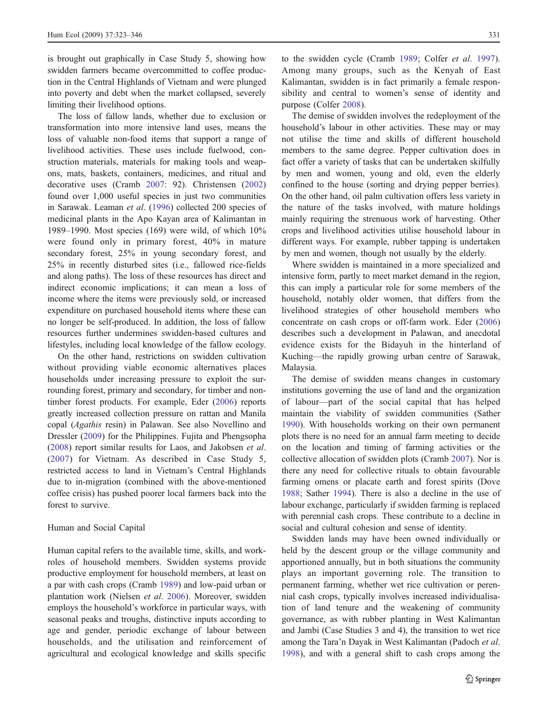is brought out graphically in Case Study 5, showing how swidden farmers became overcommitted to coffee production in the Central Highlands of Vietnam and were plunged into poverty and debt when the market collapsed, severely limiting their livelihood options.

The loss of fallow lands, whether due to exclusion or transformation into more intensive land uses, means the loss of valuable non-food items that support a range of livelihood activities. These uses include fuelwood, construction materials, materials for making tools and weapons, mats, baskets, containers, medicines, and ritual and decorative uses (Cramb [2007](#page-20-0): 92). Christensen ([2002\)](#page-20-0) found over 1,000 useful species in just two communities in Sarawak. Leaman et al. ([1996](#page-21-0)) collected 200 species of medicinal plants in the Apo Kayan area of Kalimantan in 1989–1990. Most species (169) were wild, of which 10% were found only in primary forest, 40% in mature secondary forest, 25% in young secondary forest, and 25% in recently disturbed sites (i.e., fallowed rice-fields and along paths). The loss of these resources has direct and indirect economic implications; it can mean a loss of income where the items were previously sold, or increased expenditure on purchased household items where these can no longer be self-produced. In addition, the loss of fallow resources further undermines swidden-based cultures and lifestyles, including local knowledge of the fallow ecology.

On the other hand, restrictions on swidden cultivation without providing viable economic alternatives places households under increasing pressure to exploit the surrounding forest, primary and secondary, for timber and nontimber forest products. For example, Eder ([2006\)](#page-21-0) reports greatly increased collection pressure on rattan and Manila copal (Agathis resin) in Palawan. See also Novellino and Dressler ([2009\)](#page-22-0) for the Philippines. Fujita and Phengsopha ([2008\)](#page-21-0) report similar results for Laos, and Jakobsen et al. ([2007\)](#page-21-0) for Vietnam. As described in Case Study 5, restricted access to land in Vietnam's Central Highlands due to in-migration (combined with the above-mentioned coffee crisis) has pushed poorer local farmers back into the forest to survive.

### Human and Social Capital

Human capital refers to the available time, skills, and workroles of household members. Swidden systems provide productive employment for household members, at least on a par with cash crops (Cramb [1989\)](#page-20-0) and low-paid urban or plantation work (Nielsen et al. [2006\)](#page-22-0). Moreover, swidden employs the household's workforce in particular ways, with seasonal peaks and troughs, distinctive inputs according to age and gender, periodic exchange of labour between households, and the utilisation and reinforcement of agricultural and ecological knowledge and skills specific

to the swidden cycle (Cramb [1989;](#page-20-0) Colfer et al. [1997](#page-20-0)). Among many groups, such as the Kenyah of East Kalimantan, swidden is in fact primarily a female responsibility and central to women's sense of identity and purpose (Colfer [2008](#page-20-0)).

The demise of swidden involves the redeployment of the household's labour in other activities. These may or may not utilise the time and skills of different household members to the same degree. Pepper cultivation does in fact offer a variety of tasks that can be undertaken skilfully by men and women, young and old, even the elderly confined to the house (sorting and drying pepper berries). On the other hand, oil palm cultivation offers less variety in the nature of the tasks involved, with mature holdings mainly requiring the strenuous work of harvesting. Other crops and livelihood activities utilise household labour in different ways. For example, rubber tapping is undertaken by men and women, though not usually by the elderly.

Where swidden is maintained in a more specialized and intensive form, partly to meet market demand in the region, this can imply a particular role for some members of the household, notably older women, that differs from the livelihood strategies of other household members who concentrate on cash crops or off-farm work. Eder ([2006\)](#page-21-0) describes such a development in Palawan, and anecdotal evidence exists for the Bidayuh in the hinterland of Kuching—the rapidly growing urban centre of Sarawak, Malaysia.

The demise of swidden means changes in customary institutions governing the use of land and the organization of labour—part of the social capital that has helped maintain the viability of swidden communities (Sather [1990\)](#page-22-0). With households working on their own permanent plots there is no need for an annual farm meeting to decide on the location and timing of farming activities or the collective allocation of swidden plots (Cramb [2007\)](#page-20-0). Nor is there any need for collective rituals to obtain favourable farming omens or placate earth and forest spirits (Dove [1988;](#page-21-0) Sather [1994\)](#page-22-0). There is also a decline in the use of labour exchange, particularly if swidden farming is replaced with perennial cash crops. These contribute to a decline in social and cultural cohesion and sense of identity.

Swidden lands may have been owned individually or held by the descent group or the village community and apportioned annually, but in both situations the community plays an important governing role. The transition to permanent farming, whether wet rice cultivation or perennial cash crops, typically involves increased individualisation of land tenure and the weakening of community governance, as with rubber planting in West Kalimantan and Jambi (Case Studies 3 and 4), the transition to wet rice among the Tara'n Dayak in West Kalimantan (Padoch et al. [1998\)](#page-22-0), and with a general shift to cash crops among the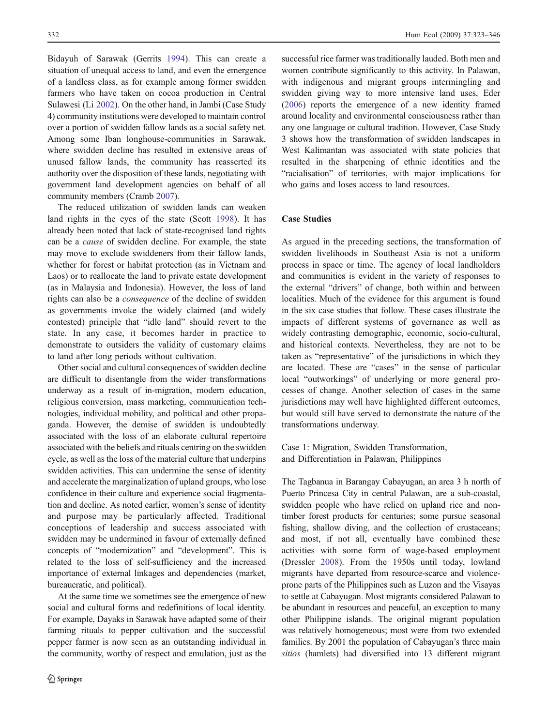Bidayuh of Sarawak (Gerrits [1994\)](#page-21-0). This can create a situation of unequal access to land, and even the emergence of a landless class, as for example among former swidden farmers who have taken on cocoa production in Central Sulawesi (Li [2002\)](#page-21-0). On the other hand, in Jambi (Case Study 4) community institutions were developed to maintain control over a portion of swidden fallow lands as a social safety net. Among some Iban longhouse-communities in Sarawak, where swidden decline has resulted in extensive areas of unused fallow lands, the community has reasserted its authority over the disposition of these lands, negotiating with government land development agencies on behalf of all community members (Cramb [2007\)](#page-20-0).

The reduced utilization of swidden lands can weaken land rights in the eyes of the state (Scott [1998\)](#page-22-0). It has already been noted that lack of state-recognised land rights can be a cause of swidden decline. For example, the state may move to exclude swiddeners from their fallow lands, whether for forest or habitat protection (as in Vietnam and Laos) or to reallocate the land to private estate development (as in Malaysia and Indonesia). However, the loss of land rights can also be a consequence of the decline of swidden as governments invoke the widely claimed (and widely contested) principle that "idle land" should revert to the state. In any case, it becomes harder in practice to demonstrate to outsiders the validity of customary claims to land after long periods without cultivation.

Other social and cultural consequences of swidden decline are difficult to disentangle from the wider transformations underway as a result of in-migration, modern education, religious conversion, mass marketing, communication technologies, individual mobility, and political and other propaganda. However, the demise of swidden is undoubtedly associated with the loss of an elaborate cultural repertoire associated with the beliefs and rituals centring on the swidden cycle, as well as the loss of the material culture that underpins swidden activities. This can undermine the sense of identity and accelerate the marginalization of upland groups, who lose confidence in their culture and experience social fragmentation and decline. As noted earlier, women's sense of identity and purpose may be particularly affected. Traditional conceptions of leadership and success associated with swidden may be undermined in favour of externally defined concepts of "modernization" and "development". This is related to the loss of self-sufficiency and the increased importance of external linkages and dependencies (market, bureaucratic, and political).

At the same time we sometimes see the emergence of new social and cultural forms and redefinitions of local identity. For example, Dayaks in Sarawak have adapted some of their farming rituals to pepper cultivation and the successful pepper farmer is now seen as an outstanding individual in the community, worthy of respect and emulation, just as the successful rice farmer was traditionally lauded. Both men and women contribute significantly to this activity. In Palawan, with indigenous and migrant groups intermingling and swidden giving way to more intensive land uses, Eder [\(2006\)](#page-21-0) reports the emergence of a new identity framed around locality and environmental consciousness rather than any one language or cultural tradition. However, Case Study 3 shows how the transformation of swidden landscapes in West Kalimantan was associated with state policies that resulted in the sharpening of ethnic identities and the "racialisation" of territories, with major implications for who gains and loses access to land resources.

# Case Studies

As argued in the preceding sections, the transformation of swidden livelihoods in Southeast Asia is not a uniform process in space or time. The agency of local landholders and communities is evident in the variety of responses to the external "drivers" of change, both within and between localities. Much of the evidence for this argument is found in the six case studies that follow. These cases illustrate the impacts of different systems of governance as well as widely contrasting demographic, economic, socio-cultural, and historical contexts. Nevertheless, they are not to be taken as "representative" of the jurisdictions in which they are located. These are "cases" in the sense of particular local "outworkings" of underlying or more general processes of change. Another selection of cases in the same jurisdictions may well have highlighted different outcomes, but would still have served to demonstrate the nature of the transformations underway.

Case 1: Migration, Swidden Transformation, and Differentiation in Palawan, Philippines

The Tagbanua in Barangay Cabayugan, an area 3 h north of Puerto Princesa City in central Palawan, are a sub-coastal, swidden people who have relied on upland rice and nontimber forest products for centuries; some pursue seasonal fishing, shallow diving, and the collection of crustaceans; and most, if not all, eventually have combined these activities with some form of wage-based employment (Dressler [2008](#page-21-0)). From the 1950s until today, lowland migrants have departed from resource-scarce and violenceprone parts of the Philippines such as Luzon and the Visayas to settle at Cabayugan. Most migrants considered Palawan to be abundant in resources and peaceful, an exception to many other Philippine islands. The original migrant population was relatively homogeneous; most were from two extended families. By 2001 the population of Cabayugan's three main sitios (hamlets) had diversified into 13 different migrant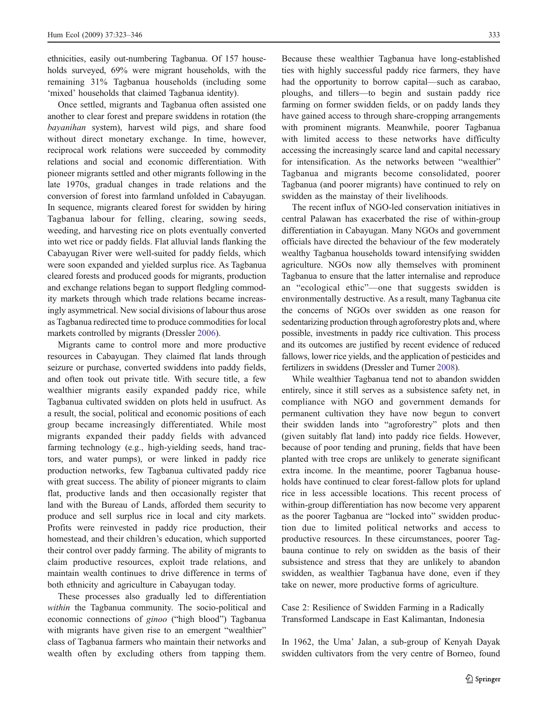ethnicities, easily out-numbering Tagbanua. Of 157 households surveyed, 69% were migrant households, with the remaining 31% Tagbanua households (including some 'mixed' households that claimed Tagbanua identity).

Once settled, migrants and Tagbanua often assisted one another to clear forest and prepare swiddens in rotation (the bayanihan system), harvest wild pigs, and share food without direct monetary exchange. In time, however, reciprocal work relations were succeeded by commodity relations and social and economic differentiation. With pioneer migrants settled and other migrants following in the late 1970s, gradual changes in trade relations and the conversion of forest into farmland unfolded in Cabayugan. In sequence, migrants cleared forest for swidden by hiring Tagbanua labour for felling, clearing, sowing seeds, weeding, and harvesting rice on plots eventually converted into wet rice or paddy fields. Flat alluvial lands flanking the Cabayugan River were well-suited for paddy fields, which were soon expanded and yielded surplus rice. As Tagbanua cleared forests and produced goods for migrants, production and exchange relations began to support fledgling commodity markets through which trade relations became increasingly asymmetrical. New social divisions of labour thus arose as Tagbanua redirected time to produce commodities for local markets controlled by migrants (Dressler [2006\)](#page-21-0).

Migrants came to control more and more productive resources in Cabayugan. They claimed flat lands through seizure or purchase, converted swiddens into paddy fields, and often took out private title. With secure title, a few wealthier migrants easily expanded paddy rice, while Tagbanua cultivated swidden on plots held in usufruct. As a result, the social, political and economic positions of each group became increasingly differentiated. While most migrants expanded their paddy fields with advanced farming technology (e.g., high-yielding seeds, hand tractors, and water pumps), or were linked in paddy rice production networks, few Tagbanua cultivated paddy rice with great success. The ability of pioneer migrants to claim flat, productive lands and then occasionally register that land with the Bureau of Lands, afforded them security to produce and sell surplus rice in local and city markets. Profits were reinvested in paddy rice production, their homestead, and their children's education, which supported their control over paddy farming. The ability of migrants to claim productive resources, exploit trade relations, and maintain wealth continues to drive difference in terms of both ethnicity and agriculture in Cabayugan today.

These processes also gradually led to differentiation within the Tagbanua community. The socio-political and economic connections of ginoo ("high blood") Tagbanua with migrants have given rise to an emergent "wealthier" class of Tagbanua farmers who maintain their networks and wealth often by excluding others from tapping them.

Because these wealthier Tagbanua have long-established ties with highly successful paddy rice farmers, they have had the opportunity to borrow capital—such as carabao, ploughs, and tillers—to begin and sustain paddy rice farming on former swidden fields, or on paddy lands they have gained access to through share-cropping arrangements with prominent migrants. Meanwhile, poorer Tagbanua with limited access to these networks have difficulty accessing the increasingly scarce land and capital necessary for intensification. As the networks between "wealthier" Tagbanua and migrants become consolidated, poorer Tagbanua (and poorer migrants) have continued to rely on swidden as the mainstay of their livelihoods.

The recent influx of NGO-led conservation initiatives in central Palawan has exacerbated the rise of within-group differentiation in Cabayugan. Many NGOs and government officials have directed the behaviour of the few moderately wealthy Tagbanua households toward intensifying swidden agriculture. NGOs now ally themselves with prominent Tagbanua to ensure that the latter internalise and reproduce an "ecological ethic"—one that suggests swidden is environmentally destructive. As a result, many Tagbanua cite the concerns of NGOs over swidden as one reason for sedentarizing production through agroforestry plots and, where possible, investments in paddy rice cultivation. This process and its outcomes are justified by recent evidence of reduced fallows, lower rice yields, and the application of pesticides and fertilizers in swiddens (Dressler and Turner [2008](#page-21-0)).

While wealthier Tagbanua tend not to abandon swidden entirely, since it still serves as a subsistence safety net, in compliance with NGO and government demands for permanent cultivation they have now begun to convert their swidden lands into "agroforestry" plots and then (given suitably flat land) into paddy rice fields. However, because of poor tending and pruning, fields that have been planted with tree crops are unlikely to generate significant extra income. In the meantime, poorer Tagbanua households have continued to clear forest-fallow plots for upland rice in less accessible locations. This recent process of within-group differentiation has now become very apparent as the poorer Tagbanua are "locked into" swidden production due to limited political networks and access to productive resources. In these circumstances, poorer Tagbauna continue to rely on swidden as the basis of their subsistence and stress that they are unlikely to abandon swidden, as wealthier Tagbanua have done, even if they take on newer, more productive forms of agriculture.

Case 2: Resilience of Swidden Farming in a Radically Transformed Landscape in East Kalimantan, Indonesia

In 1962, the Uma' Jalan, a sub-group of Kenyah Dayak swidden cultivators from the very centre of Borneo, found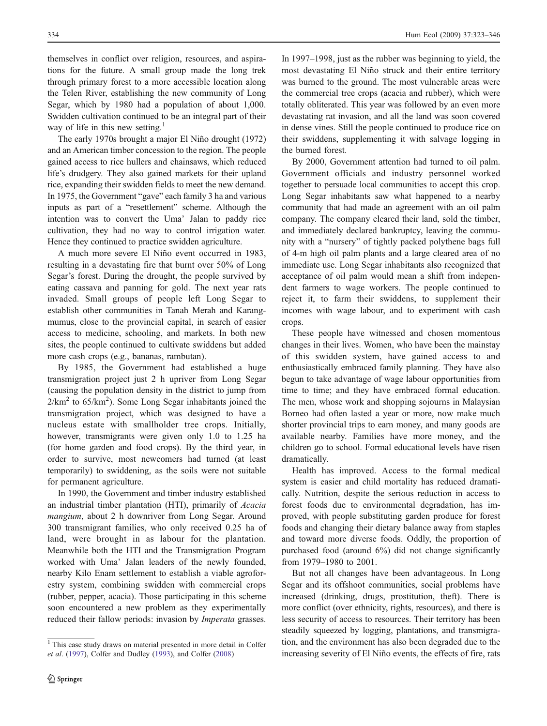themselves in conflict over religion, resources, and aspirations for the future. A small group made the long trek through primary forest to a more accessible location along the Telen River, establishing the new community of Long Segar, which by 1980 had a population of about 1,000. Swidden cultivation continued to be an integral part of their way of life in this new setting.<sup>1</sup>

The early 1970s brought a major El Niño drought (1972) and an American timber concession to the region. The people gained access to rice hullers and chainsaws, which reduced life's drudgery. They also gained markets for their upland rice, expanding their swidden fields to meet the new demand. In 1975, the Government "gave" each family 3 ha and various inputs as part of a "resettlement" scheme. Although the intention was to convert the Uma' Jalan to paddy rice cultivation, they had no way to control irrigation water. Hence they continued to practice swidden agriculture.

A much more severe El Niño event occurred in 1983, resulting in a devastating fire that burnt over 50% of Long Segar's forest. During the drought, the people survived by eating cassava and panning for gold. The next year rats invaded. Small groups of people left Long Segar to establish other communities in Tanah Merah and Karangmumus, close to the provincial capital, in search of easier access to medicine, schooling, and markets. In both new sites, the people continued to cultivate swiddens but added more cash crops (e.g., bananas, rambutan).

By 1985, the Government had established a huge transmigration project just 2 h upriver from Long Segar (causing the population density in the district to jump from  $2/km<sup>2</sup>$  to 65/km<sup>2</sup>). Some Long Segar inhabitants joined the transmigration project, which was designed to have a nucleus estate with smallholder tree crops. Initially, however, transmigrants were given only 1.0 to 1.25 ha (for home garden and food crops). By the third year, in order to survive, most newcomers had turned (at least temporarily) to swiddening, as the soils were not suitable for permanent agriculture.

In 1990, the Government and timber industry established an industrial timber plantation (HTI), primarily of Acacia mangium, about 2 h downriver from Long Segar. Around 300 transmigrant families, who only received 0.25 ha of land, were brought in as labour for the plantation. Meanwhile both the HTI and the Transmigration Program worked with Uma' Jalan leaders of the newly founded, nearby Kilo Enam settlement to establish a viable agroforestry system, combining swidden with commercial crops (rubber, pepper, acacia). Those participating in this scheme soon encountered a new problem as they experimentally reduced their fallow periods: invasion by Imperata grasses.

In 1997–1998, just as the rubber was beginning to yield, the most devastating El Niño struck and their entire territory was burned to the ground. The most vulnerable areas were the commercial tree crops (acacia and rubber), which were totally obliterated. This year was followed by an even more devastating rat invasion, and all the land was soon covered in dense vines. Still the people continued to produce rice on their swiddens, supplementing it with salvage logging in the burned forest.

By 2000, Government attention had turned to oil palm. Government officials and industry personnel worked together to persuade local communities to accept this crop. Long Segar inhabitants saw what happened to a nearby community that had made an agreement with an oil palm company. The company cleared their land, sold the timber, and immediately declared bankruptcy, leaving the community with a "nursery" of tightly packed polythene bags full of 4-m high oil palm plants and a large cleared area of no immediate use. Long Segar inhabitants also recognized that acceptance of oil palm would mean a shift from independent farmers to wage workers. The people continued to reject it, to farm their swiddens, to supplement their incomes with wage labour, and to experiment with cash crops.

These people have witnessed and chosen momentous changes in their lives. Women, who have been the mainstay of this swidden system, have gained access to and enthusiastically embraced family planning. They have also begun to take advantage of wage labour opportunities from time to time; and they have embraced formal education. The men, whose work and shopping sojourns in Malaysian Borneo had often lasted a year or more, now make much shorter provincial trips to earn money, and many goods are available nearby. Families have more money, and the children go to school. Formal educational levels have risen dramatically.

Health has improved. Access to the formal medical system is easier and child mortality has reduced dramatically. Nutrition, despite the serious reduction in access to forest foods due to environmental degradation, has improved, with people substituting garden produce for forest foods and changing their dietary balance away from staples and toward more diverse foods. Oddly, the proportion of purchased food (around 6%) did not change significantly from 1979–1980 to 2001.

But not all changes have been advantageous. In Long Segar and its offshoot communities, social problems have increased (drinking, drugs, prostitution, theft). There is more conflict (over ethnicity, rights, resources), and there is less security of access to resources. Their territory has been steadily squeezed by logging, plantations, and transmigration, and the environment has also been degraded due to the increasing severity of El Niño events, the effects of fire, rats

<sup>&</sup>lt;sup>1</sup> This case study draws on material presented in more detail in Colfer et al. ([1997\)](#page-20-0), Colfer and Dudley ([1993\)](#page-20-0), and Colfer [\(2008](#page-20-0))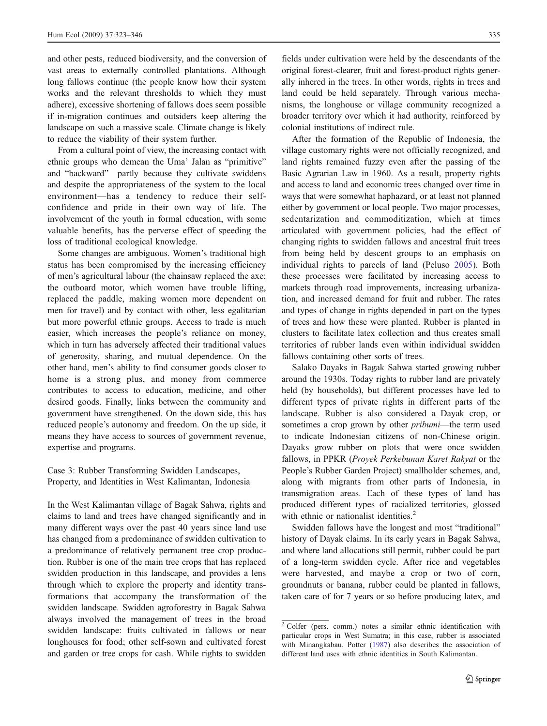and other pests, reduced biodiversity, and the conversion of vast areas to externally controlled plantations. Although long fallows continue (the people know how their system works and the relevant thresholds to which they must adhere), excessive shortening of fallows does seem possible if in-migration continues and outsiders keep altering the landscape on such a massive scale. Climate change is likely to reduce the viability of their system further.

From a cultural point of view, the increasing contact with ethnic groups who demean the Uma' Jalan as "primitive" and "backward"—partly because they cultivate swiddens and despite the appropriateness of the system to the local environment—has a tendency to reduce their selfconfidence and pride in their own way of life. The involvement of the youth in formal education, with some valuable benefits, has the perverse effect of speeding the loss of traditional ecological knowledge.

Some changes are ambiguous. Women's traditional high status has been compromised by the increasing efficiency of men's agricultural labour (the chainsaw replaced the axe; the outboard motor, which women have trouble lifting, replaced the paddle, making women more dependent on men for travel) and by contact with other, less egalitarian but more powerful ethnic groups. Access to trade is much easier, which increases the people's reliance on money, which in turn has adversely affected their traditional values of generosity, sharing, and mutual dependence. On the other hand, men's ability to find consumer goods closer to home is a strong plus, and money from commerce contributes to access to education, medicine, and other desired goods. Finally, links between the community and government have strengthened. On the down side, this has reduced people's autonomy and freedom. On the up side, it means they have access to sources of government revenue, expertise and programs.

Case 3: Rubber Transforming Swidden Landscapes, Property, and Identities in West Kalimantan, Indonesia

In the West Kalimantan village of Bagak Sahwa, rights and claims to land and trees have changed significantly and in many different ways over the past 40 years since land use has changed from a predominance of swidden cultivation to a predominance of relatively permanent tree crop production. Rubber is one of the main tree crops that has replaced swidden production in this landscape, and provides a lens through which to explore the property and identity transformations that accompany the transformation of the swidden landscape. Swidden agroforestry in Bagak Sahwa always involved the management of trees in the broad swidden landscape: fruits cultivated in fallows or near longhouses for food; other self-sown and cultivated forest and garden or tree crops for cash. While rights to swidden

fields under cultivation were held by the descendants of the original forest-clearer, fruit and forest-product rights generally inhered in the trees. In other words, rights in trees and land could be held separately. Through various mechanisms, the longhouse or village community recognized a broader territory over which it had authority, reinforced by colonial institutions of indirect rule.

After the formation of the Republic of Indonesia, the village customary rights were not officially recognized, and land rights remained fuzzy even after the passing of the Basic Agrarian Law in 1960. As a result, property rights and access to land and economic trees changed over time in ways that were somewhat haphazard, or at least not planned either by government or local people. Two major processes, sedentarization and commoditization, which at times articulated with government policies, had the effect of changing rights to swidden fallows and ancestral fruit trees from being held by descent groups to an emphasis on individual rights to parcels of land (Peluso [2005\)](#page-22-0). Both these processes were facilitated by increasing access to markets through road improvements, increasing urbanization, and increased demand for fruit and rubber. The rates and types of change in rights depended in part on the types of trees and how these were planted. Rubber is planted in clusters to facilitate latex collection and thus creates small territories of rubber lands even within individual swidden fallows containing other sorts of trees.

Salako Dayaks in Bagak Sahwa started growing rubber around the 1930s. Today rights to rubber land are privately held (by households), but different processes have led to different types of private rights in different parts of the landscape. Rubber is also considered a Dayak crop, or sometimes a crop grown by other *pribumi*—the term used to indicate Indonesian citizens of non-Chinese origin. Dayaks grow rubber on plots that were once swidden fallows, in PPKR (Proyek Perkebunan Karet Rakyat or the People's Rubber Garden Project) smallholder schemes, and, along with migrants from other parts of Indonesia, in transmigration areas. Each of these types of land has produced different types of racialized territories, glossed with ethnic or nationalist identities.<sup>2</sup>

Swidden fallows have the longest and most "traditional" history of Dayak claims. In its early years in Bagak Sahwa, and where land allocations still permit, rubber could be part of a long-term swidden cycle. After rice and vegetables were harvested, and maybe a crop or two of corn, groundnuts or banana, rubber could be planted in fallows, taken care of for 7 years or so before producing latex, and

 $2$  Colfer (pers. comm.) notes a similar ethnic identification with particular crops in West Sumatra; in this case, rubber is associated with Minangkabau. Potter [\(1987](#page-22-0)) also describes the association of different land uses with ethnic identities in South Kalimantan.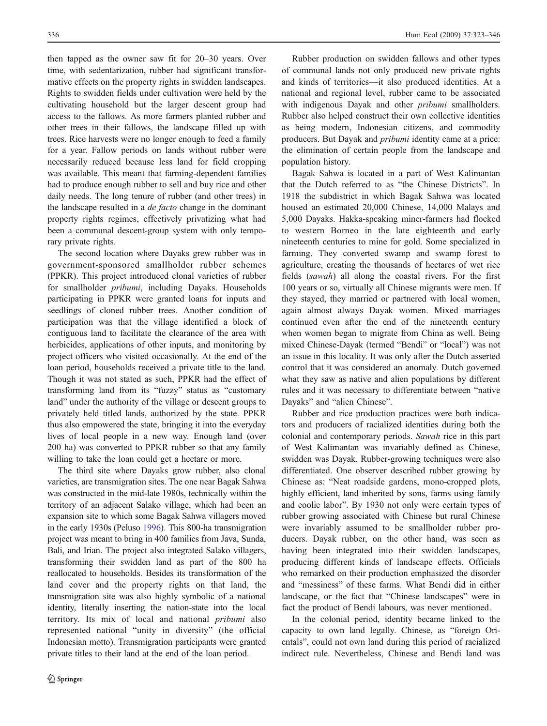then tapped as the owner saw fit for 20–30 years. Over time, with sedentarization, rubber had significant transformative effects on the property rights in swidden landscapes. Rights to swidden fields under cultivation were held by the cultivating household but the larger descent group had access to the fallows. As more farmers planted rubber and other trees in their fallows, the landscape filled up with trees. Rice harvests were no longer enough to feed a family for a year. Fallow periods on lands without rubber were necessarily reduced because less land for field cropping was available. This meant that farming-dependent families had to produce enough rubber to sell and buy rice and other daily needs. The long tenure of rubber (and other trees) in the landscape resulted in a de facto change in the dominant property rights regimes, effectively privatizing what had been a communal descent-group system with only temporary private rights.

The second location where Dayaks grew rubber was in government-sponsored smallholder rubber schemes (PPKR). This project introduced clonal varieties of rubber for smallholder pribumi, including Dayaks. Households participating in PPKR were granted loans for inputs and seedlings of cloned rubber trees. Another condition of participation was that the village identified a block of contiguous land to facilitate the clearance of the area with herbicides, applications of other inputs, and monitoring by project officers who visited occasionally. At the end of the loan period, households received a private title to the land. Though it was not stated as such, PPKR had the effect of transforming land from its "fuzzy" status as "customary land" under the authority of the village or descent groups to privately held titled lands, authorized by the state. PPKR thus also empowered the state, bringing it into the everyday lives of local people in a new way. Enough land (over 200 ha) was converted to PPKR rubber so that any family willing to take the loan could get a hectare or more.

The third site where Dayaks grow rubber, also clonal varieties, are transmigration sites. The one near Bagak Sahwa was constructed in the mid-late 1980s, technically within the territory of an adjacent Salako village, which had been an expansion site to which some Bagak Sahwa villagers moved in the early 1930s (Peluso [1996](#page-22-0)). This 800-ha transmigration project was meant to bring in 400 families from Java, Sunda, Bali, and Irian. The project also integrated Salako villagers, transforming their swidden land as part of the 800 ha reallocated to households. Besides its transformation of the land cover and the property rights on that land, the transmigration site was also highly symbolic of a national identity, literally inserting the nation-state into the local territory. Its mix of local and national pribumi also represented national "unity in diversity" (the official Indonesian motto). Transmigration participants were granted private titles to their land at the end of the loan period.

Rubber production on swidden fallows and other types of communal lands not only produced new private rights and kinds of territories—it also produced identities. At a national and regional level, rubber came to be associated with indigenous Dayak and other *pribumi* smallholders. Rubber also helped construct their own collective identities as being modern, Indonesian citizens, and commodity producers. But Dayak and pribumi identity came at a price: the elimination of certain people from the landscape and population history.

Bagak Sahwa is located in a part of West Kalimantan that the Dutch referred to as "the Chinese Districts". In 1918 the subdistrict in which Bagak Sahwa was located housed an estimated 20,000 Chinese, 14,000 Malays and 5,000 Dayaks. Hakka-speaking miner-farmers had flocked to western Borneo in the late eighteenth and early nineteenth centuries to mine for gold. Some specialized in farming. They converted swamp and swamp forest to agriculture, creating the thousands of hectares of wet rice fields (sawah) all along the coastal rivers. For the first 100 years or so, virtually all Chinese migrants were men. If they stayed, they married or partnered with local women, again almost always Dayak women. Mixed marriages continued even after the end of the nineteenth century when women began to migrate from China as well. Being mixed Chinese-Dayak (termed "Bendi" or "local") was not an issue in this locality. It was only after the Dutch asserted control that it was considered an anomaly. Dutch governed what they saw as native and alien populations by different rules and it was necessary to differentiate between "native Dayaks" and "alien Chinese".

Rubber and rice production practices were both indicators and producers of racialized identities during both the colonial and contemporary periods. Sawah rice in this part of West Kalimantan was invariably defined as Chinese, swidden was Dayak. Rubber-growing techniques were also differentiated. One observer described rubber growing by Chinese as: "Neat roadside gardens, mono-cropped plots, highly efficient, land inherited by sons, farms using family and coolie labor". By 1930 not only were certain types of rubber growing associated with Chinese but rural Chinese were invariably assumed to be smallholder rubber producers. Dayak rubber, on the other hand, was seen as having been integrated into their swidden landscapes, producing different kinds of landscape effects. Officials who remarked on their production emphasized the disorder and "messiness" of these farms. What Bendi did in either landscape, or the fact that "Chinese landscapes" were in fact the product of Bendi labours, was never mentioned.

In the colonial period, identity became linked to the capacity to own land legally. Chinese, as "foreign Orientals", could not own land during this period of racialized indirect rule. Nevertheless, Chinese and Bendi land was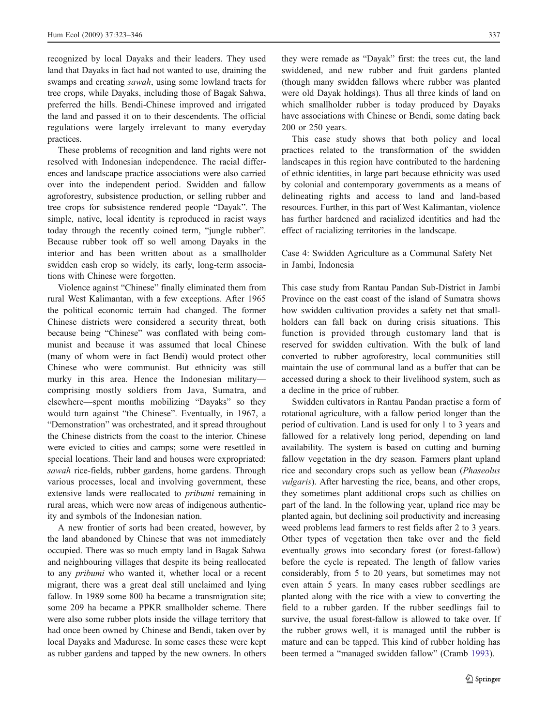recognized by local Dayaks and their leaders. They used land that Dayaks in fact had not wanted to use, draining the swamps and creating sawah, using some lowland tracts for tree crops, while Dayaks, including those of Bagak Sahwa, preferred the hills. Bendi-Chinese improved and irrigated the land and passed it on to their descendents. The official regulations were largely irrelevant to many everyday practices.

These problems of recognition and land rights were not resolved with Indonesian independence. The racial differences and landscape practice associations were also carried over into the independent period. Swidden and fallow agroforestry, subsistence production, or selling rubber and tree crops for subsistence rendered people "Dayak". The simple, native, local identity is reproduced in racist ways today through the recently coined term, "jungle rubber". Because rubber took off so well among Dayaks in the interior and has been written about as a smallholder swidden cash crop so widely, its early, long-term associations with Chinese were forgotten.

Violence against "Chinese" finally eliminated them from rural West Kalimantan, with a few exceptions. After 1965 the political economic terrain had changed. The former Chinese districts were considered a security threat, both because being "Chinese" was conflated with being communist and because it was assumed that local Chinese (many of whom were in fact Bendi) would protect other Chinese who were communist. But ethnicity was still murky in this area. Hence the Indonesian military comprising mostly soldiers from Java, Sumatra, and elsewhere—spent months mobilizing "Dayaks" so they would turn against "the Chinese". Eventually, in 1967, a "Demonstration" was orchestrated, and it spread throughout the Chinese districts from the coast to the interior. Chinese were evicted to cities and camps; some were resettled in special locations. Their land and houses were expropriated: sawah rice-fields, rubber gardens, home gardens. Through various processes, local and involving government, these extensive lands were reallocated to *pribumi* remaining in rural areas, which were now areas of indigenous authenticity and symbols of the Indonesian nation.

A new frontier of sorts had been created, however, by the land abandoned by Chinese that was not immediately occupied. There was so much empty land in Bagak Sahwa and neighbouring villages that despite its being reallocated to any pribumi who wanted it, whether local or a recent migrant, there was a great deal still unclaimed and lying fallow. In 1989 some 800 ha became a transmigration site; some 209 ha became a PPKR smallholder scheme. There were also some rubber plots inside the village territory that had once been owned by Chinese and Bendi, taken over by local Dayaks and Madurese. In some cases these were kept as rubber gardens and tapped by the new owners. In others

they were remade as "Dayak" first: the trees cut, the land swiddened, and new rubber and fruit gardens planted (though many swidden fallows where rubber was planted were old Dayak holdings). Thus all three kinds of land on which smallholder rubber is today produced by Dayaks have associations with Chinese or Bendi, some dating back 200 or 250 years.

This case study shows that both policy and local practices related to the transformation of the swidden landscapes in this region have contributed to the hardening of ethnic identities, in large part because ethnicity was used by colonial and contemporary governments as a means of delineating rights and access to land and land-based resources. Further, in this part of West Kalimantan, violence has further hardened and racialized identities and had the effect of racializing territories in the landscape.

# Case 4: Swidden Agriculture as a Communal Safety Net in Jambi, Indonesia

This case study from Rantau Pandan Sub-District in Jambi Province on the east coast of the island of Sumatra shows how swidden cultivation provides a safety net that smallholders can fall back on during crisis situations. This function is provided through customary land that is reserved for swidden cultivation. With the bulk of land converted to rubber agroforestry, local communities still maintain the use of communal land as a buffer that can be accessed during a shock to their livelihood system, such as a decline in the price of rubber.

Swidden cultivators in Rantau Pandan practise a form of rotational agriculture, with a fallow period longer than the period of cultivation. Land is used for only 1 to 3 years and fallowed for a relatively long period, depending on land availability. The system is based on cutting and burning fallow vegetation in the dry season. Farmers plant upland rice and secondary crops such as yellow bean (Phaseolus vulgaris). After harvesting the rice, beans, and other crops, they sometimes plant additional crops such as chillies on part of the land. In the following year, upland rice may be planted again, but declining soil productivity and increasing weed problems lead farmers to rest fields after 2 to 3 years. Other types of vegetation then take over and the field eventually grows into secondary forest (or forest-fallow) before the cycle is repeated. The length of fallow varies considerably, from 5 to 20 years, but sometimes may not even attain 5 years. In many cases rubber seedlings are planted along with the rice with a view to converting the field to a rubber garden. If the rubber seedlings fail to survive, the usual forest-fallow is allowed to take over. If the rubber grows well, it is managed until the rubber is mature and can be tapped. This kind of rubber holding has been termed a "managed swidden fallow" (Cramb [1993](#page-20-0)).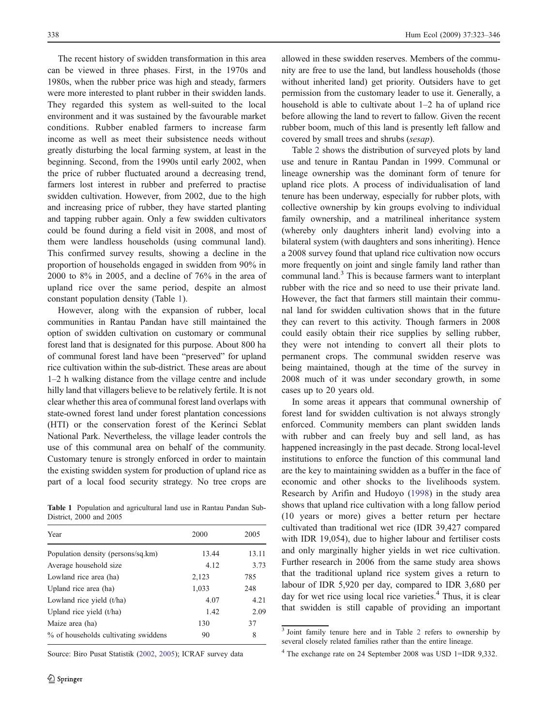The recent history of swidden transformation in this area can be viewed in three phases. First, in the 1970s and 1980s, when the rubber price was high and steady, farmers were more interested to plant rubber in their swidden lands. They regarded this system as well-suited to the local environment and it was sustained by the favourable market conditions. Rubber enabled farmers to increase farm income as well as meet their subsistence needs without greatly disturbing the local farming system, at least in the beginning. Second, from the 1990s until early 2002, when the price of rubber fluctuated around a decreasing trend, farmers lost interest in rubber and preferred to practise swidden cultivation. However, from 2002, due to the high and increasing price of rubber, they have started planting and tapping rubber again. Only a few swidden cultivators could be found during a field visit in 2008, and most of them were landless households (using communal land). This confirmed survey results, showing a decline in the proportion of households engaged in swidden from 90% in 2000 to 8% in 2005, and a decline of 76% in the area of upland rice over the same period, despite an almost constant population density (Table 1).

However, along with the expansion of rubber, local communities in Rantau Pandan have still maintained the option of swidden cultivation on customary or communal forest land that is designated for this purpose. About 800 ha of communal forest land have been "preserved" for upland rice cultivation within the sub-district. These areas are about 1–2 h walking distance from the village centre and include hilly land that villagers believe to be relatively fertile. It is not clear whether this area of communal forest land overlaps with state-owned forest land under forest plantation concessions (HTI) or the conservation forest of the Kerinci Seblat National Park. Nevertheless, the village leader controls the use of this communal area on behalf of the community. Customary tenure is strongly enforced in order to maintain the existing swidden system for production of upland rice as part of a local food security strategy. No tree crops are

Table 1 Population and agricultural land use in Rantau Pandan Sub-District, 2000 and 2005

| Year                                 | 2000  | 2005  |
|--------------------------------------|-------|-------|
| Population density (persons/sq.km)   | 13.44 | 13.11 |
| Average household size               | 4.12  | 3.73  |
| Lowland rice area (ha)               | 2,123 | 785   |
| Upland rice area (ha)                | 1,033 | 248   |
| Lowland rice yield (t/ha)            | 4.07  | 4.21  |
| Upland rice yield (t/ha)             | 1.42  | 2.09  |
| Maize area (ha)                      | 130   | 37    |
| % of households cultivating swiddens | 90    | 8     |
|                                      |       |       |

Source: Biro Pusat Statistik ([2002,](#page-20-0) [2005](#page-20-0)); ICRAF survey data

allowed in these swidden reserves. Members of the community are free to use the land, but landless households (those without inherited land) get priority. Outsiders have to get permission from the customary leader to use it. Generally, a household is able to cultivate about 1–2 ha of upland rice before allowing the land to revert to fallow. Given the recent rubber boom, much of this land is presently left fallow and covered by small trees and shrubs (sesap).

Table [2](#page-16-0) shows the distribution of surveyed plots by land use and tenure in Rantau Pandan in 1999. Communal or lineage ownership was the dominant form of tenure for upland rice plots. A process of individualisation of land tenure has been underway, especially for rubber plots, with collective ownership by kin groups evolving to individual family ownership, and a matrilineal inheritance system (whereby only daughters inherit land) evolving into a bilateral system (with daughters and sons inheriting). Hence a 2008 survey found that upland rice cultivation now occurs more frequently on joint and single family land rather than communal land.<sup>3</sup> This is because farmers want to interplant rubber with the rice and so need to use their private land. However, the fact that farmers still maintain their communal land for swidden cultivation shows that in the future they can revert to this activity. Though farmers in 2008 could easily obtain their rice supplies by selling rubber, they were not intending to convert all their plots to permanent crops. The communal swidden reserve was being maintained, though at the time of the survey in 2008 much of it was under secondary growth, in some cases up to 20 years old.

In some areas it appears that communal ownership of forest land for swidden cultivation is not always strongly enforced. Community members can plant swidden lands with rubber and can freely buy and sell land, as has happened increasingly in the past decade. Strong local-level institutions to enforce the function of this communal land are the key to maintaining swidden as a buffer in the face of economic and other shocks to the livelihoods system. Research by Arifin and Hudoyo [\(1998](#page-20-0)) in the study area shows that upland rice cultivation with a long fallow period (10 years or more) gives a better return per hectare cultivated than traditional wet rice (IDR 39,427 compared with IDR 19,054), due to higher labour and fertiliser costs and only marginally higher yields in wet rice cultivation. Further research in 2006 from the same study area shows that the traditional upland rice system gives a return to labour of IDR 5,920 per day, compared to IDR 3,680 per day for wet rice using local rice varieties.<sup>4</sup> Thus, it is clear that swidden is still capable of providing an important

<sup>3</sup> Joint family tenure here and in Table [2](#page-16-0) refers to ownership by several closely related families rather than the entire lineage.

<sup>&</sup>lt;sup>4</sup> The exchange rate on 24 September 2008 was USD 1=IDR 9,332.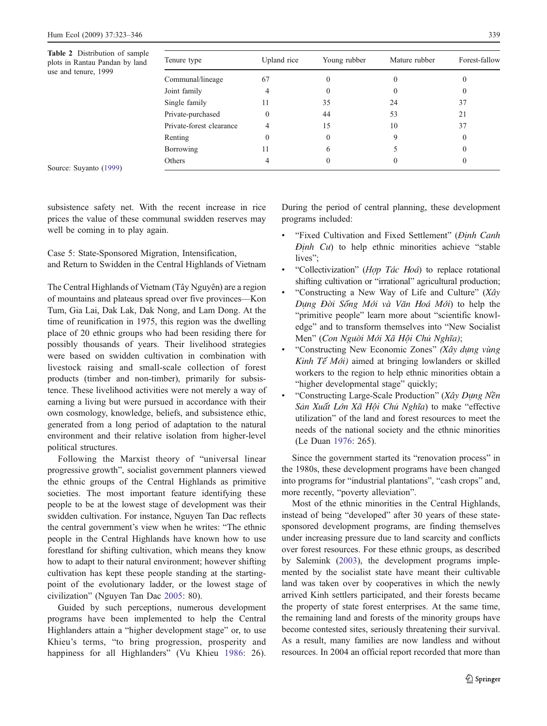<span id="page-16-0"></span>

| Tenure type              | Upland rice | Young rubber | Mature rubber | Forest-fallow |
|--------------------------|-------------|--------------|---------------|---------------|
| Communal/lineage         | 67          |              | $^{()}$       |               |
| Joint family             |             |              | 0             |               |
| Single family            | 11          | 35           | 24            | 37            |
| Private-purchased        | $\Omega$    | 44           | 53            | 21            |
| Private-forest clearance |             | 15           | 10            | 37            |
| Renting                  | 0           | $\theta$     | 9             | 0             |
| Borrowing                | 11          | 6            |               |               |
| <b>Others</b>            | 4           | 0            | 0             | U             |

Source: Suyanto [\(1999](#page-22-0))

subsistence safety net. With the recent increase in rice prices the value of these communal swidden reserves may well be coming in to play again.

Case 5: State-Sponsored Migration, Intensification, and Return to Swidden in the Central Highlands of Vietnam

The Central Highlands of Vietnam (Tây Nguyên) are a region of mountains and plateaus spread over five provinces—Kon Tum, Gia Lai, Dak Lak, Dak Nong, and Lam Dong. At the time of reunification in 1975, this region was the dwelling place of 20 ethnic groups who had been residing there for possibly thousands of years. Their livelihood strategies were based on swidden cultivation in combination with livestock raising and small-scale collection of forest products (timber and non-timber), primarily for subsistence. These livelihood activities were not merely a way of earning a living but were pursued in accordance with their own cosmology, knowledge, beliefs, and subsistence ethic, generated from a long period of adaptation to the natural environment and their relative isolation from higher-level political structures.

Following the Marxist theory of "universal linear progressive growth", socialist government planners viewed the ethnic groups of the Central Highlands as primitive societies. The most important feature identifying these people to be at the lowest stage of development was their swidden cultivation. For instance, Nguyen Tan Dac reflects the central government's view when he writes: "The ethnic people in the Central Highlands have known how to use forestland for shifting cultivation, which means they know how to adapt to their natural environment; however shifting cultivation has kept these people standing at the startingpoint of the evolutionary ladder, or the lowest stage of civilization" (Nguyen Tan Dac [2005:](#page-22-0) 80).

Guided by such perceptions, numerous development programs have been implemented to help the Central Highlanders attain a "higher development stage" or, to use Khieu's terms, "to bring progression, prosperity and happiness for all Highlanders" (Vu Khieu [1986:](#page-22-0) 26).

During the period of central planning, these development programs included:

- & "Fixed Cultivation and Fixed Settlement" (Định Canh Định Cư) to help ethnic minorities achieve "stable lives";
- "Collectivization" (Hop Tác Hoá) to replace rotational shifting cultivation or "irrational" agricultural production;
- "Constructing a New Way of Life and Culture"  $(Xa\hat{v})$ Dựng Đời Sống Mới và Văn Hoá Mới) to help the "primitive people" learn more about "scientific knowledge" and to transform themselves into "New Socialist Men" (Con Người Mới Xã Hội Chủ Nghĩa);
- "Constructing New Economic Zones" (Xây dựng vùng Kinh Tế Mới) aimed at bringing lowlanders or skilled workers to the region to help ethnic minorities obtain a "higher developmental stage" quickly;
- "Constructing Large-Scale Production" (Xây Dựng Nền Sản Xuất Lớn Xã Hội Chủ Nghĩa) to make "effective utilization" of the land and forest resources to meet the needs of the national society and the ethnic minorities (Le Duan [1976](#page-21-0): 265).

Since the government started its "renovation process" in the 1980s, these development programs have been changed into programs for "industrial plantations", "cash crops" and, more recently, "poverty alleviation".

Most of the ethnic minorities in the Central Highlands, instead of being "developed" after 30 years of these statesponsored development programs, are finding themselves under increasing pressure due to land scarcity and conflicts over forest resources. For these ethnic groups, as described by Salemink [\(2003](#page-22-0)), the development programs implemented by the socialist state have meant their cultivable land was taken over by cooperatives in which the newly arrived Kinh settlers participated, and their forests became the property of state forest enterprises. At the same time, the remaining land and forests of the minority groups have become contested sites, seriously threatening their survival. As a result, many families are now landless and without resources. In 2004 an official report recorded that more than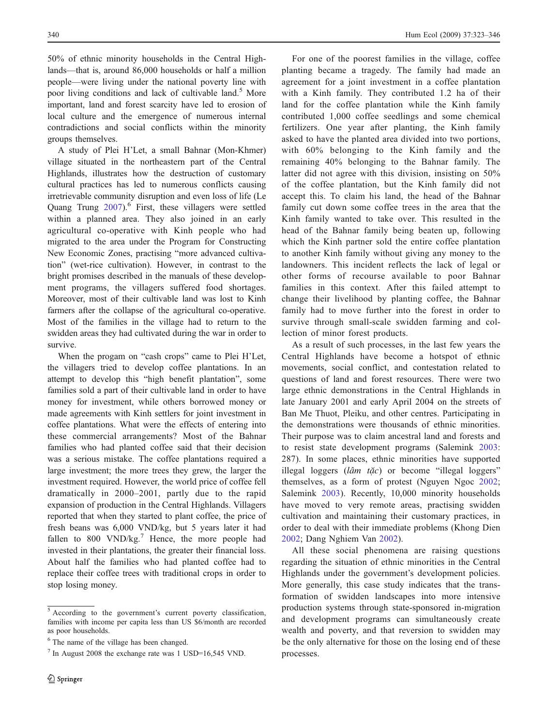50% of ethnic minority households in the Central Highlands—that is, around 86,000 households or half a million people—were living under the national poverty line with poor living conditions and lack of cultivable land.<sup>5</sup> More important, land and forest scarcity have led to erosion of local culture and the emergence of numerous internal contradictions and social conflicts within the minority groups themselves.

A study of Plei H'Let, a small Bahnar (Mon-Khmer) village situated in the northeastern part of the Central Highlands, illustrates how the destruction of customary cultural practices has led to numerous conflicts causing irretrievable community disruption and even loss of life (Le Quang Trung  $2007$ ).<sup>6</sup> First, these villagers were settled within a planned area. They also joined in an early agricultural co-operative with Kinh people who had migrated to the area under the Program for Constructing New Economic Zones, practising "more advanced cultivation" (wet-rice cultivation). However, in contrast to the bright promises described in the manuals of these development programs, the villagers suffered food shortages. Moreover, most of their cultivable land was lost to Kinh farmers after the collapse of the agricultural co-operative. Most of the families in the village had to return to the swidden areas they had cultivated during the war in order to survive.

When the progam on "cash crops" came to Plei H'Let, the villagers tried to develop coffee plantations. In an attempt to develop this "high benefit plantation", some families sold a part of their cultivable land in order to have money for investment, while others borrowed money or made agreements with Kinh settlers for joint investment in coffee plantations. What were the effects of entering into these commercial arrangements? Most of the Bahnar families who had planted coffee said that their decision was a serious mistake. The coffee plantations required a large investment; the more trees they grew, the larger the investment required. However, the world price of coffee fell dramatically in 2000–2001, partly due to the rapid expansion of production in the Central Highlands. Villagers reported that when they started to plant coffee, the price of fresh beans was 6,000 VND/kg, but 5 years later it had fallen to  $800$  VND/kg.<sup>7</sup> Hence, the more people had invested in their plantations, the greater their financial loss. About half the families who had planted coffee had to replace their coffee trees with traditional crops in order to stop losing money.

For one of the poorest families in the village, coffee planting became a tragedy. The family had made an agreement for a joint investment in a coffee plantation with a Kinh family. They contributed 1.2 ha of their land for the coffee plantation while the Kinh family contributed 1,000 coffee seedlings and some chemical fertilizers. One year after planting, the Kinh family asked to have the planted area divided into two portions, with 60% belonging to the Kinh family and the remaining 40% belonging to the Bahnar family. The latter did not agree with this division, insisting on 50% of the coffee plantation, but the Kinh family did not accept this. To claim his land, the head of the Bahnar family cut down some coffee trees in the area that the Kinh family wanted to take over. This resulted in the head of the Bahnar family being beaten up, following which the Kinh partner sold the entire coffee plantation to another Kinh family without giving any money to the landowners. This incident reflects the lack of legal or other forms of recourse available to poor Bahnar families in this context. After this failed attempt to change their livelihood by planting coffee, the Bahnar family had to move further into the forest in order to survive through small-scale swidden farming and collection of minor forest products.

As a result of such processes, in the last few years the Central Highlands have become a hotspot of ethnic movements, social conflict, and contestation related to questions of land and forest resources. There were two large ethnic demonstrations in the Central Highlands in late January 2001 and early April 2004 on the streets of Ban Me Thuot, Pleiku, and other centres. Participating in the demonstrations were thousands of ethnic minorities. Their purpose was to claim ancestral land and forests and to resist state development programs (Salemink [2003](#page-22-0): 287). In some places, ethnic minorities have supported illegal loggers (lâm tặc) or become "illegal loggers" themselves, as a form of protest (Nguyen Ngoc [2002](#page-22-0); Salemink [2003\)](#page-22-0). Recently, 10,000 minority households have moved to very remote areas, practising swidden cultivation and maintaining their customary practices, in order to deal with their immediate problems (Khong Dien [2002](#page-21-0); Dang Nghiem Van [2002\)](#page-21-0).

All these social phenomena are raising questions regarding the situation of ethnic minorities in the Central Highlands under the government's development policies. More generally, this case study indicates that the transformation of swidden landscapes into more intensive production systems through state-sponsored in-migration and development programs can simultaneously create wealth and poverty, and that reversion to swidden may be the only alternative for those on the losing end of these processes.

 $\overline{\text{5}}$  According to the government's current poverty classification, families with income per capita less than US \$6/month are recorded as poor households.

<sup>&</sup>lt;sup>6</sup> The name of the village has been changed.

<sup>7</sup> In August 2008 the exchange rate was 1 USD=16,545 VND.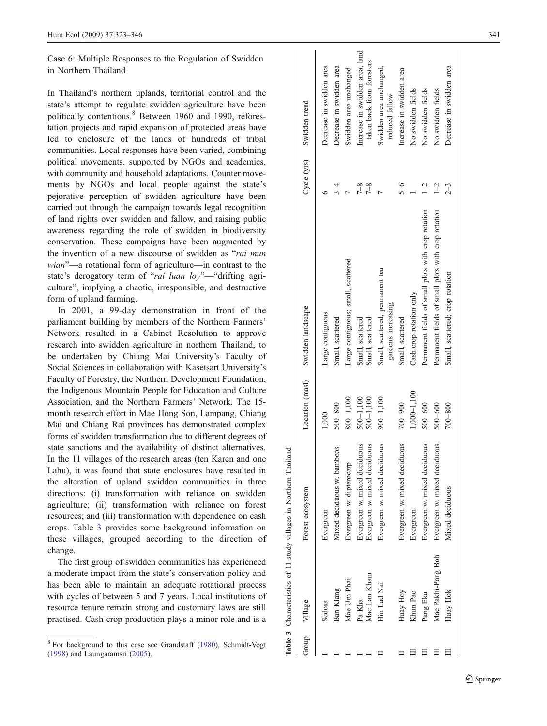Case 6: Multiple Responses to the Regulation of Swidden in Northern Thailand

In Thailand 's northern uplands, territorial control and the state 's attempt to regulate swidden agriculture have been politically contentious. <sup>8</sup> Between 1960 and 1990, reforestation projects and rapid expansion of protected areas have led to enclosure of the lands of hundreds of tribal communities. Local responses have been varied, combining political movements, supported by NGOs and academics, with community and household adaptations. Counter movements by NGOs and local people against the state's pejorative perception of swidden agriculture have been carried out through the campaign towards legal recognition of land rights over swidden and fallow, and raising public awareness regarding the role of swidden in biodiversity conservation. These campaigns have been augmented by the invention of a new discourse of swidden as "rai mun wian"-a rotational form of agriculture-in contrast to the state's derogatory term of "rai luan loy"-"drifting agriculture", implying a chaotic, irresponsible, and destructive form of upland farming.

In 2001, a 99-day demonstration in front of the parliament building by members of the Northern Farmers ' Network resulted in a Cabinet Resolution to approve research into swidden agriculture in northern Thailand, to be undertaken by Chiang Mai University 's Faculty of Social Sciences in collaboration with Kasetsart University ' s Faculty of Forestry, the Northern Development Foundation, the Indigenous Mountain People for Education and Culture Association, and the Northern Farmers ' Network. The 15 month research effort in Mae Hong Son, Lampang, Chiang Mai and Chiang Rai provinces has demonstrated complex forms of swidden transformation due to different degrees of state sanctions and the availability of distinct alternatives. In the 11 villages of the research areas (ten Karen and one Lahu), it was found that state enclosures have resulted in the alteration of upland swidden communities in three directions: (i) transformation with reliance on swidden agriculture; (ii) transformation with reliance on forest resources; and (iii) transformation with dependence on cash crops. Table 3 provides some background information on these villages, grouped according to the direction of change.

The first group of swidden communities has experienced a moderate impact from the state 's conservation policy and has been able to maintain an adequate rotational process with cycles of between 5 and 7 years. Local institutions of resource tenure remain strong and customary laws are still practised. Cash-crop production plays a minor role and is a

<sup>8</sup> For background to this case see Grandstaff ([1980\)](#page-21-0), Schmidt-Vogt [\(1998](#page-22-0)) and Laungaramsri ([2005\)](#page-21-0).

|       |                    | land<br>Table 3 Characteristics of 11 study villages in Northern Thail |               |                                                       |               |                                           |
|-------|--------------------|------------------------------------------------------------------------|---------------|-------------------------------------------------------|---------------|-------------------------------------------|
| Group | Village            | Forest ecosystem                                                       |               | Location (masl) Swidden landscape                     |               | Cycle (yrs) Swidden trend                 |
|       | Sedosa             | Evergreen                                                              | 1,000         | Large contiguous                                      |               | Decrease in swidden area                  |
|       | Ban Klang          | Mixed deciduous w. bamboos                                             | $500 - 800$   | Small, scattered                                      | $\frac{4}{3}$ | Decrease in swidden area                  |
|       | Mae Um Phai        | Evergreen w. dipterocarp                                               | 800-1,100     | Large contiguous; small, scattered                    |               | Swidden area unchanged                    |
|       | Pa Kha             | Evergreen w. mixed deciduous                                           | $500 - 1,100$ | Small, scattered                                      | $\frac{8}{7}$ | Increase in swidden area, land            |
|       | Mae Lan Kham       | Evergreen w. mixed deciduous                                           | $500 - 1,100$ | Small, scattered                                      | $7 - 8$       | taken back from foresters                 |
|       | Hin Lad Nai        | Evergreen w. mixed deciduous                                           | $900 - 1,100$ | Small, scattered; permanent tea<br>gardens increasing |               | Swidden area unchanged,<br>reduced fallow |
|       | Huay Hoy           | Evergreen w. mixed deciduous                                           | 700-900       | Small, scattered                                      | $\delta$ -6   | Increase in swidden area                  |
|       | Khun Pae           | Evergreen                                                              | $000 - 1,100$ | Cash crop rotation only                               |               | No swidden fields                         |
|       | Pang Eka           | Evergreen w. mixed deciduous                                           | $500 - 600$   | Permanent fields of small plots with crop rotation    | $1 - 2$       | No swidden fields                         |
|       | Mae Pakhi-Pang Boh | Evergreen w. mixed deciduous                                           | $500 - 600$   | Permanent fields of small plots with crop rotation    | $1 - 2$       | No swidden fields                         |
|       | Huay Hok           | Mixed deciduous                                                        | $700 - 800$   | Small, scattered; crop rotation                       | $2 - 3$       | Decrease in swidden area                  |
|       |                    |                                                                        |               |                                                       |               |                                           |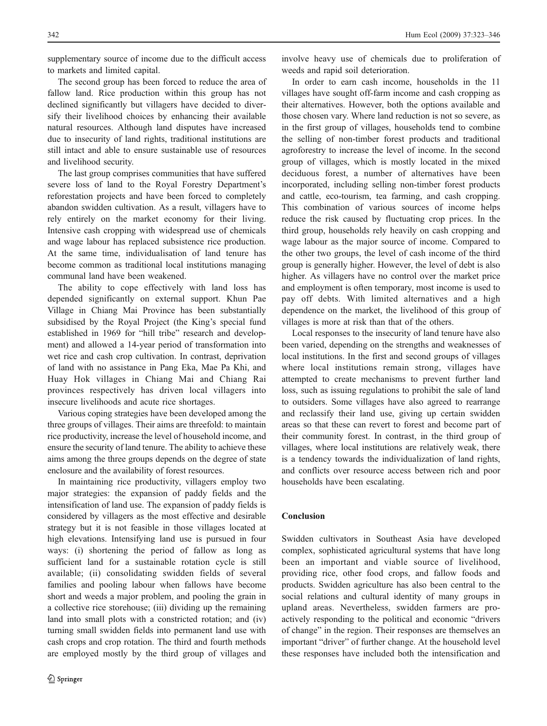supplementary source of income due to the difficult access to markets and limited capital.

The second group has been forced to reduce the area of fallow land. Rice production within this group has not declined significantly but villagers have decided to diversify their livelihood choices by enhancing their available natural resources. Although land disputes have increased due to insecurity of land rights, traditional institutions are still intact and able to ensure sustainable use of resources and livelihood security.

The last group comprises communities that have suffered severe loss of land to the Royal Forestry Department's reforestation projects and have been forced to completely abandon swidden cultivation. As a result, villagers have to rely entirely on the market economy for their living. Intensive cash cropping with widespread use of chemicals and wage labour has replaced subsistence rice production. At the same time, individualisation of land tenure has become common as traditional local institutions managing communal land have been weakened.

The ability to cope effectively with land loss has depended significantly on external support. Khun Pae Village in Chiang Mai Province has been substantially subsidised by the Royal Project (the King's special fund established in 1969 for "hill tribe" research and development) and allowed a 14-year period of transformation into wet rice and cash crop cultivation. In contrast, deprivation of land with no assistance in Pang Eka, Mae Pa Khi, and Huay Hok villages in Chiang Mai and Chiang Rai provinces respectively has driven local villagers into insecure livelihoods and acute rice shortages.

Various coping strategies have been developed among the three groups of villages. Their aims are threefold: to maintain rice productivity, increase the level of household income, and ensure the security of land tenure. The ability to achieve these aims among the three groups depends on the degree of state enclosure and the availability of forest resources.

In maintaining rice productivity, villagers employ two major strategies: the expansion of paddy fields and the intensification of land use. The expansion of paddy fields is considered by villagers as the most effective and desirable strategy but it is not feasible in those villages located at high elevations. Intensifying land use is pursued in four ways: (i) shortening the period of fallow as long as sufficient land for a sustainable rotation cycle is still available; (ii) consolidating swidden fields of several families and pooling labour when fallows have become short and weeds a major problem, and pooling the grain in a collective rice storehouse; (iii) dividing up the remaining land into small plots with a constricted rotation; and (iv) turning small swidden fields into permanent land use with cash crops and crop rotation. The third and fourth methods are employed mostly by the third group of villages and weeds and rapid soil deterioration. In order to earn cash income, households in the 11 villages have sought off-farm income and cash cropping as their alternatives. However, both the options available and those chosen vary. Where land reduction is not so severe, as in the first group of villages, households tend to combine the selling of non-timber forest products and traditional agroforestry to increase the level of income. In the second group of villages, which is mostly located in the mixed deciduous forest, a number of alternatives have been incorporated, including selling non-timber forest products and cattle, eco-tourism, tea farming, and cash cropping. This combination of various sources of income helps reduce the risk caused by fluctuating crop prices. In the third group, households rely heavily on cash cropping and wage labour as the major source of income. Compared to the other two groups, the level of cash income of the third group is generally higher. However, the level of debt is also higher. As villagers have no control over the market price and employment is often temporary, most income is used to pay off debts. With limited alternatives and a high dependence on the market, the livelihood of this group of villages is more at risk than that of the others.

Local responses to the insecurity of land tenure have also been varied, depending on the strengths and weaknesses of local institutions. In the first and second groups of villages where local institutions remain strong, villages have attempted to create mechanisms to prevent further land loss, such as issuing regulations to prohibit the sale of land to outsiders. Some villages have also agreed to rearrange and reclassify their land use, giving up certain swidden areas so that these can revert to forest and become part of their community forest. In contrast, in the third group of villages, where local institutions are relatively weak, there is a tendency towards the individualization of land rights, and conflicts over resource access between rich and poor households have been escalating.

# Conclusion

Swidden cultivators in Southeast Asia have developed complex, sophisticated agricultural systems that have long been an important and viable source of livelihood, providing rice, other food crops, and fallow foods and products. Swidden agriculture has also been central to the social relations and cultural identity of many groups in upland areas. Nevertheless, swidden farmers are proactively responding to the political and economic "drivers of change" in the region. Their responses are themselves an important "driver" of further change. At the household level these responses have included both the intensification and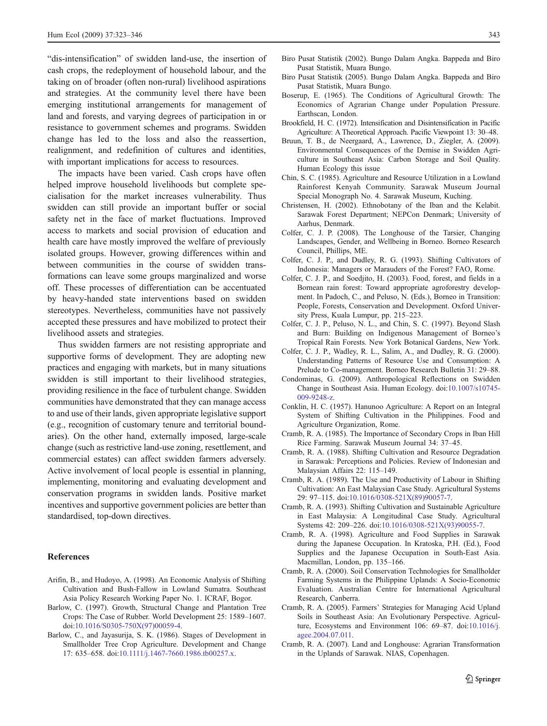<span id="page-20-0"></span>"dis-intensification" of swidden land-use, the insertion of cash crops, the redeployment of household labour, and the taking on of broader (often non-rural) livelihood aspirations and strategies. At the community level there have been emerging institutional arrangements for management of land and forests, and varying degrees of participation in or resistance to government schemes and programs. Swidden change has led to the loss and also the reassertion, realignment, and redefinition of cultures and identities, with important implications for access to resources.

The impacts have been varied. Cash crops have often helped improve household livelihoods but complete specialisation for the market increases vulnerability. Thus swidden can still provide an important buffer or social safety net in the face of market fluctuations. Improved access to markets and social provision of education and health care have mostly improved the welfare of previously isolated groups. However, growing differences within and between communities in the course of swidden transformations can leave some groups marginalized and worse off. These processes of differentiation can be accentuated by heavy-handed state interventions based on swidden stereotypes. Nevertheless, communities have not passively accepted these pressures and have mobilized to protect their livelihood assets and strategies.

Thus swidden farmers are not resisting appropriate and supportive forms of development. They are adopting new practices and engaging with markets, but in many situations swidden is still important to their livelihood strategies, providing resilience in the face of turbulent change. Swidden communities have demonstrated that they can manage access to and use of their lands, given appropriate legislative support (e.g., recognition of customary tenure and territorial boundaries). On the other hand, externally imposed, large-scale change (such as restrictive land-use zoning, resettlement, and commercial estates) can affect swidden farmers adversely. Active involvement of local people is essential in planning, implementing, monitoring and evaluating development and conservation programs in swidden lands. Positive market incentives and supportive government policies are better than standardised, top-down directives.

## References

- Arifin, B., and Hudoyo, A. (1998). An Economic Analysis of Shifting Cultivation and Bush-Fallow in Lowland Sumatra. Southeast Asia Policy Research Working Paper No. 1. ICRAF, Bogor.
- Barlow, C. (1997). Growth, Structural Change and Plantation Tree Crops: The Case of Rubber. World Development 25: 1589–1607. doi:[10.1016/S0305-750X\(97\)00059-4.](http://dx.doi.org/10.1016/S0305-750X(97)00059-4)
- Barlow, C., and Jayasurija, S. K. (1986). Stages of Development in Smallholder Tree Crop Agriculture. Development and Change 17: 635–658. doi:[10.1111/j.1467-7660.1986.tb00257.x](http://dx.doi.org/10.1111/j.1467-7660.1986.tb00257.x).
- Biro Pusat Statistik (2002). Bungo Dalam Angka. Bappeda and Biro Pusat Statistik, Muara Bungo.
- Biro Pusat Statistik (2005). Bungo Dalam Angka. Bappeda and Biro Pusat Statistik, Muara Bungo.
- Boserup, E. (1965). The Conditions of Agricultural Growth: The Economics of Agrarian Change under Population Pressure. Earthscan, London.
- Brookfield, H. C. (1972). Intensification and Disintensification in Pacific Agriculture: A Theoretical Approach. Pacific Viewpoint 13: 30–48.
- Bruun, T. B., de Neergaard, A., Lawrence, D., Ziegler, A. (2009). Environmental Consequences of the Demise in Swidden Agriculture in Southeast Asia: Carbon Storage and Soil Quality. Human Ecology this issue
- Chin, S. C. (1985). Agriculture and Resource Utilization in a Lowland Rainforest Kenyah Community. Sarawak Museum Journal Special Monograph No. 4. Sarawak Museum, Kuching.
- Christensen, H. (2002). Ethnobotany of the Iban and the Kelabit. Sarawak Forest Department; NEPCon Denmark; University of Aarhus, Denmark.
- Colfer, C. J. P. (2008). The Longhouse of the Tarsier, Changing Landscapes, Gender, and Wellbeing in Borneo. Borneo Research Council, Phillips, ME.
- Colfer, C. J. P., and Dudley, R. G. (1993). Shifting Cultivators of Indonesia: Managers or Marauders of the Forest? FAO, Rome.
- Colfer, C. J. P., and Soedjito, H. (2003). Food, forest, and fields in a Bornean rain forest: Toward appropriate agroforestry development. In Padoch, C., and Peluso, N. (Eds.), Borneo in Transition: People, Forests, Conservation and Development. Oxford University Press, Kuala Lumpur, pp. 215–223.
- Colfer, C. J. P., Peluso, N. L., and Chin, S. C. (1997). Beyond Slash and Burn: Building on Indigenous Management of Borneo's Tropical Rain Forests. New York Botanical Gardens, New York.
- Colfer, C. J. P., Wadley, R. L., Salim, A., and Dudley, R. G. (2000). Understanding Patterns of Resource Use and Consumption: A Prelude to Co-management. Borneo Research Bulletin 31: 29–88.
- Condominas, G. (2009). Anthropological Reflections on Swidden Change in Southeast Asia. Human Ecology. doi:[10.1007/s10745-](http://dx.doi.org/10.1007/s10745-009-9248-z) [009-9248-z.](http://dx.doi.org/10.1007/s10745-009-9248-z)
- Conklin, H. C. (1957). Hanunoo Agriculture: A Report on an Integral System of Shifting Cultivation in the Philippines. Food and Agriculture Organization, Rome.
- Cramb, R. A. (1985). The Importance of Secondary Crops in Iban Hill Rice Farming. Sarawak Museum Journal 34: 37–45.
- Cramb, R. A. (1988). Shifting Cultivation and Resource Degradation in Sarawak: Perceptions and Policies. Review of Indonesian and Malaysian Affairs 22: 115–149.
- Cramb, R. A. (1989). The Use and Productivity of Labour in Shifting Cultivation: An East Malaysian Case Study. Agricultural Systems 29: 97–115. doi[:10.1016/0308-521X\(89\)90057-7.](http://dx.doi.org/10.1016/0308-521X(89)90057-7)
- Cramb, R. A. (1993). Shifting Cultivation and Sustainable Agriculture in East Malaysia: A Longitudinal Case Study. Agricultural Systems 42: 209–226. doi:[10.1016/0308-521X\(93\)90055-7](http://dx.doi.org/10.1016/0308-521X(93)90055-7).
- Cramb, R. A. (1998). Agriculture and Food Supplies in Sarawak during the Japanese Occupation. In Kratoska, P.H. (Ed.), Food Supplies and the Japanese Occupation in South-East Asia. Macmillan, London, pp. 135–166.
- Cramb, R. A. (2000). Soil Conservation Technologies for Smallholder Farming Systems in the Philippine Uplands: A Socio-Economic Evaluation. Australian Centre for International Agricultural Research, Canberra.
- Cramb, R. A. (2005). Farmers' Strategies for Managing Acid Upland Soils in Southeast Asia: An Evolutionary Perspective. Agriculture, Ecosystems and Environment 106: 69–87. doi:[10.1016/j.](http://dx.doi.org/10.1016/j.agee.2004.07.011) [agee.2004.07.011](http://dx.doi.org/10.1016/j.agee.2004.07.011).
- Cramb, R. A. (2007). Land and Longhouse: Agrarian Transformation in the Uplands of Sarawak. NIAS, Copenhagen.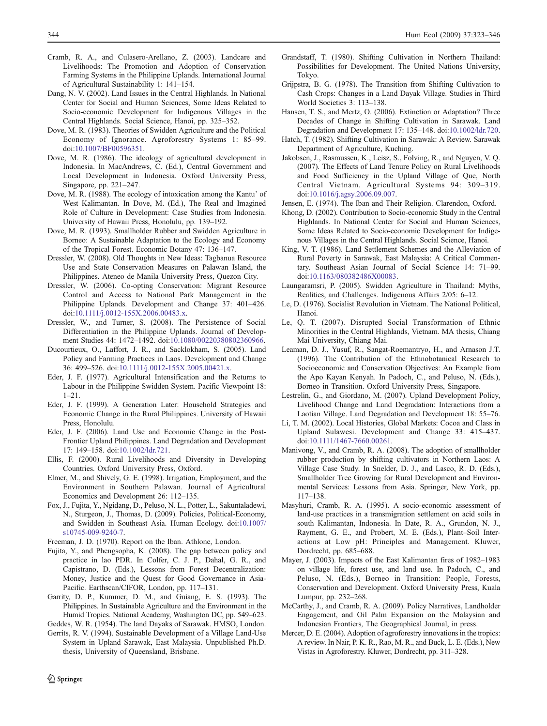- <span id="page-21-0"></span>Cramb, R. A., and Culasero-Arellano, Z. (2003). Landcare and Livelihoods: The Promotion and Adoption of Conservation Farming Systems in the Philippine Uplands. International Journal of Agricultural Sustainability 1: 141–154.
- Dang, N. V. (2002). Land Issues in the Central Highlands. In National Center for Social and Human Sciences, Some Ideas Related to Socio-economic Development for Indigenous Villages in the Central Highlands. Social Science, Hanoi, pp. 325–352.
- Dove, M. R. (1983). Theories of Swidden Agriculture and the Political Economy of Ignorance. Agroforestry Systems 1: 85–99. doi:[10.1007/BF00596351.](http://dx.doi.org/10.1007/BF00596351)
- Dove, M. R. (1986). The ideology of agricultural development in Indonesia. In MacAndrews, C. (Ed.), Central Government and Local Development in Indonesia. Oxford University Press, Singapore, pp. 221–247.
- Dove, M. R. (1988). The ecology of intoxication among the Kantu' of West Kalimantan. In Dove, M. (Ed.), The Real and Imagined Role of Culture in Development: Case Studies from Indonesia. University of Hawaii Press, Honolulu, pp. 139–192.
- Dove, M. R. (1993). Smallholder Rubber and Swidden Agriculture in Borneo: A Sustainable Adaptation to the Ecology and Economy of the Tropical Forest. Economic Botany 47: 136–147.
- Dressler, W. (2008). Old Thoughts in New Ideas: Tagbanua Resource Use and State Conservation Measures on Palawan Island, the Philippines. Ateneo de Manila University Press, Quezon City.
- Dressler, W. (2006). Co-opting Conservation: Migrant Resource Control and Access to National Park Management in the Philippine Uplands. Development and Change 37: 401–426. doi:[10.1111/j.0012-155X.2006.00483.x](http://dx.doi.org/10.1111/j.0012-155X.2006.00483.x).
- Dressler, W., and Turner, S. (2008). The Persistence of Social Differentiation in the Philippine Uplands. Journal of Development Studies 44: 1472–1492. doi[:10.1080/00220380802360966](http://dx.doi.org/10.1080/00220380802360966).
- Ducourtieux, O., Laffort, J. R., and Sacklokham, S. (2005). Land Policy and Farming Practices in Laos. Development and Change 36: 499–526. doi:[10.1111/j.0012-155X.2005.00421.x](http://dx.doi.org/10.1111/j.0012-155X.2005.00421.x).
- Eder, J. F. (1977). Agricultural Intensification and the Returns to Labour in the Philippine Swidden System. Pacific Viewpoint 18:  $1 - 21$
- Eder, J. F. (1999). A Generation Later: Household Strategies and Economic Change in the Rural Philippines. University of Hawaii Press, Honolulu.
- Eder, J. F. (2006). Land Use and Economic Change in the Post-Frontier Upland Philippines. Land Degradation and Development 17: 149–158. doi:[10.1002/ldr.721](http://dx.doi.org/10.1002/ldr.721).
- Ellis, F. (2000). Rural Livelihoods and Diversity in Developing Countries. Oxford University Press, Oxford.
- Elmer, M., and Shively, G. E. (1998). Irrigation, Employment, and the Environment in Southern Palawan. Journal of Agricultural Economics and Development 26: 112–135.
- Fox, J., Fujita, Y., Ngidang, D., Peluso, N. L., Potter, L., Sakuntaladewi, N., Sturgeon, J., Thomas, D. (2009). Policies, Political-Economy, and Swidden in Southeast Asia. Human Ecology. doi[:10.1007/](http://dx.doi.org/10.1007/s10745-009-9240-7) [s10745-009-9240-7](http://dx.doi.org/10.1007/s10745-009-9240-7).

Freeman, J. D. (1970). Report on the Iban. Athlone, London.

- Fujita, Y., and Phengsopha, K. (2008). The gap between policy and practice in lao PDR. In Colfer, C. J. P., Dahal, G. R., and Capistrano, D. (Eds.), Lessons from Forest Decentralization: Money, Justice and the Quest for Good Governance in Asia-Pacific. Earthscan/CIFOR, London, pp. 117–131.
- Garrity, D. P., Kummer, D. M., and Guiang, E. S. (1993). The Philippines. In Sustainable Agriculture and the Environment in the Humid Tropics. National Academy, Washington DC, pp. 549–623.

Geddes, W. R. (1954). The land Dayaks of Sarawak. HMSO, London. Gerrits, R. V. (1994). Sustainable Development of a Village Land-Use

System in Upland Sarawak, East Malaysia. Unpublished Ph.D. thesis, University of Queensland, Brisbane.

- Grandstaff, T. (1980). Shifting Cultivation in Northern Thailand: Possibilities for Development. The United Nations University, Tokyo.
- Grijpstra, B. G. (1978). The Transition from Shifting Cultivation to Cash Crops: Changes in a Land Dayak Village. Studies in Third World Societies 3: 113–138.
- Hansen, T. S., and Mertz, O. (2006). Extinction or Adaptation? Three Decades of Change in Shifting Cultivation in Sarawak. Land Degradation and Development 17: 135–148. doi[:10.1002/ldr.720.](http://dx.doi.org/10.1002/ldr.720)
- Hatch, T. (1982). Shifting Cultivation in Sarawak: A Review. Sarawak Department of Agriculture, Kuching.
- Jakobsen, J., Rasmussen, K., Leisz, S., Folving, R., and Nguyen, V. Q. (2007). The Effects of Land Tenure Policy on Rural Livelihoods and Food Sufficiency in the Upland Village of Que, North Central Vietnam. Agricultural Systems 94: 309–319. doi:[10.1016/j.agsy.2006.09.007](http://dx.doi.org/10.1016/j.agsy.2006.09.007).
- Jensen, E. (1974). The Iban and Their Religion. Clarendon, Oxford.
- Khong, D. (2002). Contribution to Socio-economic Study in the Central Highlands. In National Center for Social and Human Sciences, Some Ideas Related to Socio-economic Development for Indigenous Villages in the Central Highlands. Social Science, Hanoi.
- King, V. T. (1986). Land Settlement Schemes and the Alleviation of Rural Poverty in Sarawak, East Malaysia: A Critical Commentary. Southeast Asian Journal of Social Science 14: 71–99. doi:[10.1163/080382486X00083.](http://dx.doi.org/10.1163/080382486X00083)
- Laungaramsri, P. (2005). Swidden Agriculture in Thailand: Myths, Realities, and Challenges. Indigenous Affairs 2/05: 6–12.
- Le, D. (1976). Socialist Revolution in Vietnam. The National Political, Hanoi.
- Le, Q. T. (2007). Disrupted Social Transformation of Ethnic Minorities in the Central Highlands, Vietnam. MA thesis, Chiang Mai University, Chiang Mai.
- Leaman, D. J., Yusuf, R., Sangat-Roemantryo, H., and Arnason J.T. (1996). The Contribution of the Ethnobotanical Research to Socioeconomic and Conservation Objectives: An Example from the Apo Kayan Kenyah. In Padoch, C., and Peluso, N. (Eds.), Borneo in Transition. Oxford University Press, Singapore.
- Lestrelin, G., and Giordano, M. (2007). Upland Development Policy, Livelihood Change and Land Degradation: Interactions from a Laotian Village. Land Degradation and Development 18: 55–76.
- Li, T. M. (2002). Local Histories, Global Markets: Cocoa and Class in Upland Sulawesi. Development and Change 33: 415–437. doi:[10.1111/1467-7660.00261.](http://dx.doi.org/10.1111/1467-7660.00261)
- Manivong, V., and Cramb, R. A. (2008). The adoption of smallholder rubber production by shifting cultivators in Northern Laos: A Village Case Study. In Snelder, D. J., and Lasco, R. D. (Eds.), Smallholder Tree Growing for Rural Development and Environmental Services: Lessons from Asia. Springer, New York, pp. 117–138.
- Masyhuri, Cramb, R. A. (1995). A socio-economic assessment of land-use practices in a transmigration settlement on acid soils in south Kalimantan, Indonesia. In Date, R. A., Grundon, N. J., Rayment, G. E., and Probert, M. E. (Eds.), Plant–Soil Interactions at Low pH: Principles and Management. Kluwer, Dordrecht, pp. 685–688.
- Mayer, J. (2003). Impacts of the East Kalimantan fires of 1982–1983 on village life, forest use, and land use. In Padoch, C., and Peluso, N. (Eds.), Borneo in Transition: People, Forests, Conservation and Development. Oxford University Press, Kuala Lumpur, pp. 232–268.
- McCarthy, J., and Cramb, R. A. (2009). Policy Narratives, Landholder Engagement, and Oil Palm Expansion on the Malaysian and Indonesian Frontiers, The Geographical Journal, in press.
- Mercer, D. E. (2004). Adoption of agroforestry innovations in the tropics: A review. In Nair, P. K. R., Rao, M. R., and Buck, L. E. (Eds.), New Vistas in Agroforestry. Kluwer, Dordrecht, pp. 311–328.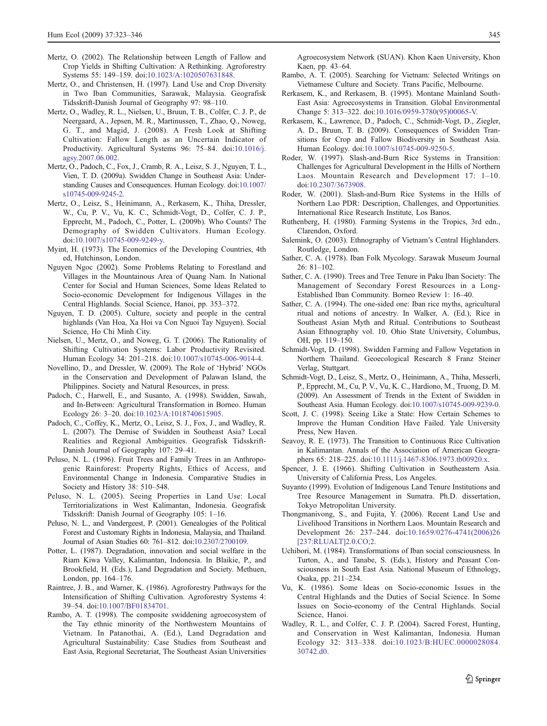- <span id="page-22-0"></span>Mertz, O. (2002). The Relationship between Length of Fallow and Crop Yields in Shifting Cultivation: A Rethinking. Agroforestry Systems 55: 149–159. doi:[10.1023/A:1020507631848.](http://dx.doi.org/10.1023/A:1020507631848)
- Mertz, O., and Christensen, H. (1997). Land Use and Crop Diversity in Two Iban Communities, Sarawak, Malaysia. Geografisk Tidsskrift-Danish Journal of Geography 97: 98–110.
- Mertz, O., Wadley, R. L., Nielsen, U., Bruun, T. B., Colfer, C. J. P., de Neergaard, A., Jepsen, M. R., Martinussen, T., Zhao, Q., Noweg, G. T., and Magid, J. (2008). A Fresh Look at Shifting Cultivation: Fallow Length as an Uncertain Indicator of Productivity. Agricultural Systems 96: 75–84. doi[:10.1016/j.](http://dx.doi.org/10.1016/j.agsy.2007.06.002) [agsy.2007.06.002.](http://dx.doi.org/10.1016/j.agsy.2007.06.002)
- Mertz, O., Padoch, C., Fox, J., Cramb, R. A., Leisz, S. J., Nguyen, T. L., Vien, T. D. (2009a). Swidden Change in Southeast Asia: Understanding Causes and Consequences. Human Ecology. doi:[10.1007/](http://dx.doi.org/10.1007/s10745-009-9245-2) [s10745-009-9245-2.](http://dx.doi.org/10.1007/s10745-009-9245-2)
- Mertz, O., Leisz, S., Heinimann, A., Rerkasem, K., Thiha, Dressler, W., Cu, P. V., Vu, K. C., Schmidt-Vogt, D., Colfer, C. J. P., Epprecht, M., Padoch, C., Potter, L. (2009b). Who Counts? The Demography of Swidden Cultivators. Human Ecology. doi:[10.1007/s10745-009-9249-y.](http://dx.doi.org/10.1007/s10745-009-9249-y)
- Myint, H. (1973). The Economics of the Developing Countries, 4th ed, Hutchinson, London.
- Nguyen Ngoc (2002). Some Problems Relating to Forestland and Villages in the Mountainous Area of Quang Nam. In National Center for Social and Human Sciences, Some Ideas Related to Socio-economic Development for Indigenous Villages in the Central Highlands. Social Science, Hanoi, pp. 353–372.
- Nguyen, T. D. (2005). Culture, society and people in the central highlands (Van Hoa, Xa Hoi va Con Nguoi Tay Nguyen). Social Science, Ho Chi Minh City.
- Nielsen, U., Mertz, O., and Noweg, G. T. (2006). The Rationality of Shifting Cultivation Systems: Labor Productivity Revisited. Human Ecology 34: 201–218. doi[:10.1007/s10745-006-9014-4.](http://dx.doi.org/10.1007/s10745-006-9014-4)
- Novellino, D., and Dressler, W. (2009). The Role of 'Hybrid' NGOs in the Conservation and Development of Palawan Island, the Philippines. Society and Natural Resources, in press.
- Padoch, C., Harwell, E., and Susanto, A. (1998). Swidden, Sawah, and In-Between: Agricultural Transformation in Borneo. Human Ecology 26: 3–20. doi:[10.1023/A:1018740615905](http://dx.doi.org/10.1023/A:1018740615905).
- Padoch, C., Coffey, K., Mertz, O., Leisz, S. J., Fox, J., and Wadley, R. L. (2007). The Demise of Swidden in Southeast Asia? Local Realities and Regional Ambiguities. Geografisk Tidsskrift-Danish Journal of Geography 107: 29–41.
- Peluso, N. L. (1996). Fruit Trees and Family Trees in an Anthropogenic Rainforest: Property Rights, Ethics of Access, and Environmental Change in Indonesia. Comparative Studies in Society and History 38: 510–548.
- Peluso, N. L. (2005). Seeing Properties in Land Use: Local Territorializations in West Kalimantan, Indonesia. Geografisk Tidsskrift: Danish Journal of Geography 105: 1–16.
- Peluso, N. L., and Vandergeest, P. (2001). Genealogies of the Political Forest and Customary Rights in Indonesia, Malaysia, and Thailand. Journal of Asian Studies 60: 761–812. doi:[10.2307/2700109.](http://dx.doi.org/10.2307/2700109)
- Potter, L. (1987). Degradation, innovation and social welfare in the Riam Kiwa Valley, Kalimantan, Indonesia. In Blaikie, P., and Brookfield, H. (Eds.), Land Degradation and Society. Methuen, London, pp. 164–176.
- Raintree, J. B., and Warner, K. (1986). Agroforestry Pathways for the Intensification of Shifting Cultivation. Agroforestry Systems 4: 39–54. doi:[10.1007/BF01834701.](http://dx.doi.org/10.1007/BF01834701)
- Rambo, A. T. (1998). The composite swiddening agroecosystem of the Tay ethnic minority of the Northwestern Mountains of Vietnam. In Patanothai, A. (Ed.), Land Degradation and Agricultural Sustainability: Case Studies from Southeast and East Asia, Regional Secretariat, The Southeast Asian Universities

Agroecosystem Network (SUAN). Khon Kaen University, Khon Kaen, pp. 43–64.

- Rambo, A. T. (2005). Searching for Vietnam: Selected Writings on Vietnamese Culture and Society. Trans Pacific, Melbourne.
- Rerkasem, K., and Rerkasem, B. (1995). Montane Mainland South-East Asia: Agroecosystems in Transition. Global Environmental Change 5: 313–322. doi[:10.1016/0959-3780\(95\)00065-V.](http://dx.doi.org/10.1016/0959-3780(95)00065-V)
- Rerkasem, K., Lawrence, D., Padoch, C., Schmidt-Vogt, D., Ziegler, A. D., Bruun, T. B. (2009). Consequences of Swidden Transitions for Crop and Fallow Biodiversity in Southeast Asia. Human Ecology. doi:[10.1007/s10745-009-9250-5](http://dx.doi.org/10.1007/s10745-009-9250-5).
- Roder, W. (1997). Slash-and-Burn Rice Systems in Transition: Challenges for Agricultural Development in the Hills of Northern Laos. Mountain Research and Development 17: 1–10. doi:[10.2307/3673908](http://dx.doi.org/10.2307/3673908).
- Roder, W. (2001). Slash-and-Burn Rice Systems in the Hills of Northern Lao PDR: Description, Challenges, and Opportunities. International Rice Research Institute, Los Banos.
- Ruthenberg, H. (1980). Farming Systems in the Tropics, 3rd edn., Clarendon, Oxford.
- Salemink, O. (2003). Ethnography of Vietnam's Central Highlanders. Routledge, London.
- Sather, C. A. (1978). Iban Folk Mycology. Sarawak Museum Journal 26: 81–102.
- Sather, C. A. (1990). Trees and Tree Tenure in Paku Iban Society: The Management of Secondary Forest Resources in a Long-Established Iban Community. Borneo Review 1: 16–40.
- Sather, C. A. (1994). The one-sided one: Iban rice myths, agricultural ritual and notions of ancestry. In Walker, A. (Ed.), Rice in Southeast Asian Myth and Ritual. Contributions to Southeast Asian Ethnography vol. 10. Ohio State University, Columbus, OH, pp. 119–150.
- Schmidt-Vogt, D. (1998). Swidden Farming and Fallow Vegetation in Northern Thailand. Geoecological Research 8 Franz Steiner Verlag, Stuttgart.
- Schmidt-Vogt, D., Leisz, S., Mertz, O., Heinimann, A., Thiha, Messerli, P., Epprecht, M., Cu, P. V., Vu, K. C., Hardiono, M., Truong, D. M. (2009). An Assessment of Trends in the Extent of Swidden in Southeast Asia. Human Ecology. doi:[10.1007/s10745-009-9239-0.](http://dx.doi.org/10.1007/s10745-009-9239-0)
- Scott, J. C. (1998). Seeing Like a State: How Certain Schemes to Improve the Human Condition Have Failed. Yale University Press, New Haven.
- Seavoy, R. E. (1973). The Transition to Continuous Rice Cultivation in Kalimantan. Annals of the Association of American Geographers 65: 218–225. doi:[10.1111/j.1467-8306.1973.tb00920.x](http://dx.doi.org/10.1111/j.1467-8306.1973.tb00920.x).
- Spencer, J. E. (1966). Shifting Cultivation in Southeastern Asia. University of California Press, Los Angeles.
- Suyanto (1999). Evolution of Indigenous Land Tenure Institutions and Tree Resource Management in Sumatra. Ph.D. dissertation, Tokyo Metropolitan University.
- Thongmanivong, S., and Fujita, Y. (2006). Recent Land Use and Livelihood Transitions in Northern Laos. Mountain Research and Development 26: 237–244. doi[:10.1659/0276-4741\(2006\)26](http://dx.doi.org/10.1659/0276-4741(2006)26[237:RLUALT]2.0.CO;2) [\[237:RLUALT\]2.0.CO;2.](http://dx.doi.org/10.1659/0276-4741(2006)26[237:RLUALT]2.0.CO;2)
- Uchibori, M. (1984). Transformations of Iban social consciousness. In Turton, A., and Tanabe, S. (Eds.), History and Peasant Consciousness in South East Asia. National Museum of Ethnology, Osaka, pp. 211–234.
- Vu, K. (1986). Some Ideas on Socio-economic Issues in the Central Highlands and the Duties of Social Science. In Some Issues on Socio-economy of the Central Highlands. Social Science, Hanoi.
- Wadley, R. L., and Colfer, C. J. P. (2004). Sacred Forest, Hunting, and Conservation in West Kalimantan, Indonesia. Human Ecology 32: 313–338. doi:[10.1023/B:HUEC.0000028084.](http://dx.doi.org/10.1023/B:HUEC.0000028084.30742.d0) [30742.d0](http://dx.doi.org/10.1023/B:HUEC.0000028084.30742.d0).